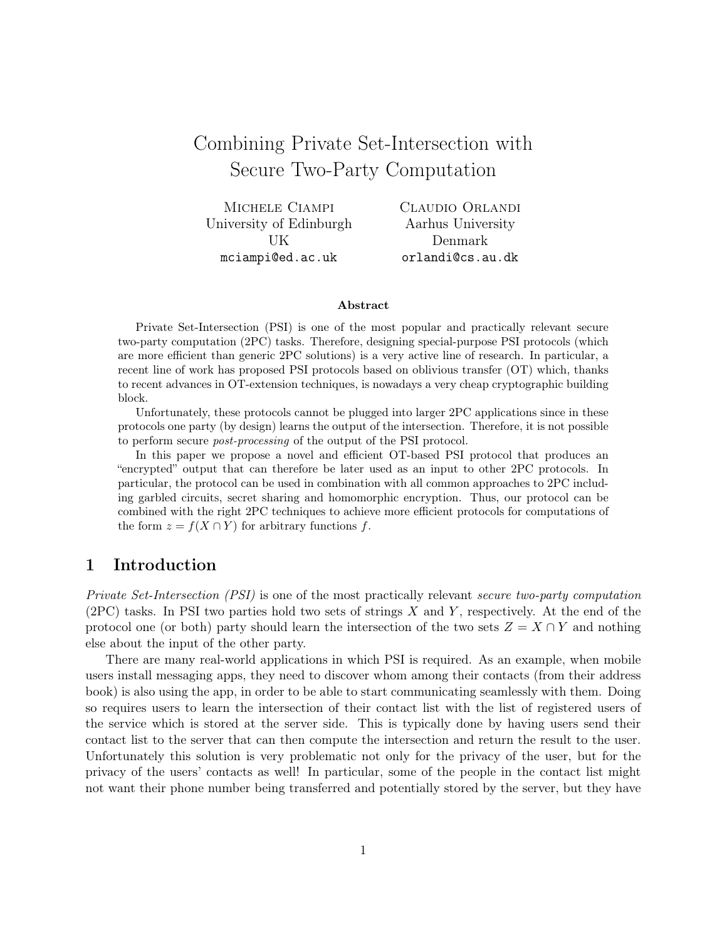# Combining Private Set-Intersection with Secure Two-Party Computation

| CLAUDIO ORLANDI   |
|-------------------|
| Aarhus University |
| Denmark           |
| orlandi@cs.au.dk  |
|                   |

#### Abstract

Private Set-Intersection (PSI) is one of the most popular and practically relevant secure two-party computation (2PC) tasks. Therefore, designing special-purpose PSI protocols (which are more efficient than generic 2PC solutions) is a very active line of research. In particular, a recent line of work has proposed PSI protocols based on oblivious transfer (OT) which, thanks to recent advances in OT-extension techniques, is nowadays a very cheap cryptographic building block.

Unfortunately, these protocols cannot be plugged into larger 2PC applications since in these protocols one party (by design) learns the output of the intersection. Therefore, it is not possible to perform secure *post-processing* of the output of the PSI protocol.

In this paper we propose a novel and efficient OT-based PSI protocol that produces an "encrypted" output that can therefore be later used as an input to other 2PC protocols. In particular, the protocol can be used in combination with all common approaches to 2PC including garbled circuits, secret sharing and homomorphic encryption. Thus, our protocol can be combined with the right 2PC techniques to achieve more efficient protocols for computations of the form  $z = f(X \cap Y)$  for arbitrary functions f.

## <span id="page-0-0"></span>1 Introduction

Private Set-Intersection (PSI) is one of the most practically relevant secure two-party computation  $(2PC)$  tasks. In PSI two parties hold two sets of strings X and Y, respectively. At the end of the protocol one (or both) party should learn the intersection of the two sets  $Z = X \cap Y$  and nothing else about the input of the other party.

There are many real-world applications in which PSI is required. As an example, when mobile users install messaging apps, they need to discover whom among their contacts (from their address book) is also using the app, in order to be able to start communicating seamlessly with them. Doing so requires users to learn the intersection of their contact list with the list of registered users of the service which is stored at the server side. This is typically done by having users send their contact list to the server that can then compute the intersection and return the result to the user. Unfortunately this solution is very problematic not only for the privacy of the user, but for the privacy of the users' contacts as well! In particular, some of the people in the contact list might not want their phone number being transferred and potentially stored by the server, but they have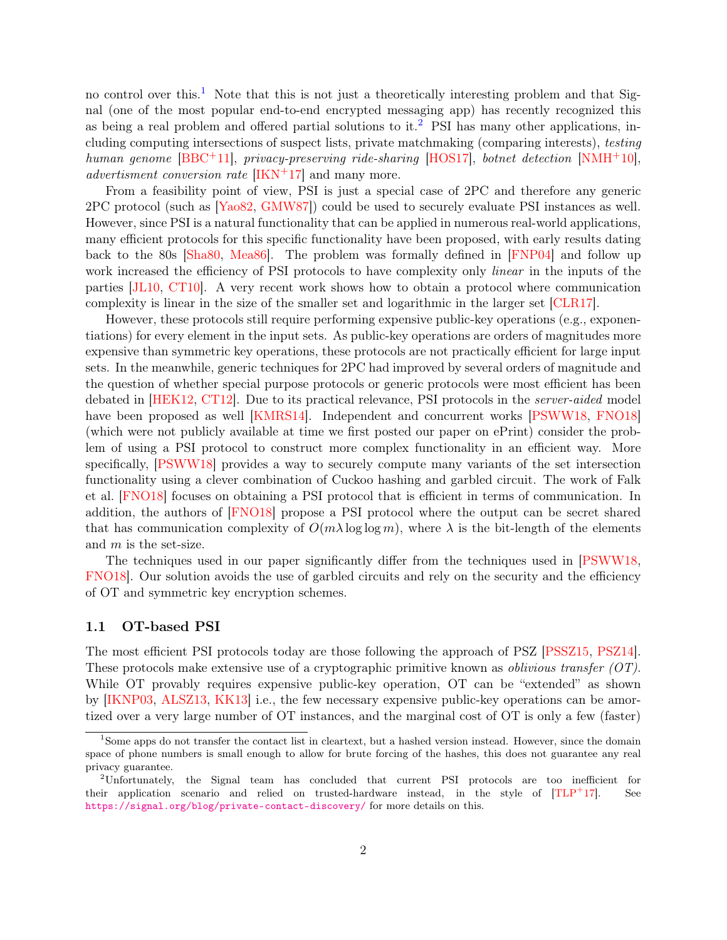no control over this.<sup>[1](#page-1-0)</sup> Note that this is not just a theoretically interesting problem and that Signal (one of the most popular end-to-end encrypted messaging app) has recently recognized this as being a real problem and offered partial solutions to it.<sup>[2](#page-1-1)</sup> PSI has many other applications, including computing intersections of suspect lists, private matchmaking (comparing interests), testing human genome  $[BBC^+11]$ , privacy-preserving ride-sharing  $[HOS17]$ , botnet detection  $[NMH^+10]$ , advertisment conversion rate  $[IKN^+17]$  $[IKN^+17]$  and many more.

From a feasibility point of view, PSI is just a special case of 2PC and therefore any generic 2PC protocol (such as [Yao82, GMW87]) could be used to securely evaluate PSI instances as well. However, since PSI is a natural functionality that can be applied in numerous real-world applications, many efficient protocols for this specific functionality have been proposed, with early results dating back to the 80s [Sha80, Mea86]. The problem was formally defined in [FNP04] and follow up work increased the efficiency of PSI protocols to have complexity only *linear* in the inputs of the parties [JL10, CT10]. A very recent work shows how to obtain a protocol where communication complexity is linear in the size of the smaller set and logarithmic in the larger set [\[CLR17\]](#page-25-0).

However, these protocols still require performing expensive public-key operations (e.g., exponentiations) for every element in the input sets. As public-key operations are orders of magnitudes more expensive than symmetric key operations, these protocols are not practically efficient for large input sets. In the meanwhile, generic techniques for 2PC had improved by several orders of magnitude and the question of whether special purpose protocols or generic protocols were most efficient has been debated in [HEK12, CT12]. Due to its practical relevance, PSI protocols in the server-aided model have been proposed as well [KMRS14]. Independent and concurrent works [\[PSWW18,](#page-28-0) [FNO18\]](#page-26-1) (which were not publicly available at time we first posted our paper on ePrint) consider the problem of using a PSI protocol to construct more complex functionality in an efficient way. More specifically, [\[PSWW18\]](#page-28-0) provides a way to securely compute many variants of the set intersection functionality using a clever combination of Cuckoo hashing and garbled circuit. The work of Falk et al. [\[FNO18\]](#page-26-1) focuses on obtaining a PSI protocol that is efficient in terms of communication. In addition, the authors of [\[FNO18\]](#page-26-1) propose a PSI protocol where the output can be secret shared that has communication complexity of  $O(m\lambda \log \log m)$ , where  $\lambda$  is the bit-length of the elements and m is the set-size.

The techniques used in our paper significantly differ from the techniques used in [\[PSWW18,](#page-28-0) [FNO18\]](#page-26-1). Our solution avoids the use of garbled circuits and rely on the security and the efficiency of OT and symmetric key encryption schemes.

#### 1.1 OT-based PSI

The most efficient PSI protocols today are those following the approach of PSZ [PSSZ15, PSZ14]. These protocols make extensive use of a cryptographic primitive known as *oblivious transfer (OT)*. While OT provably requires expensive public-key operation, OT can be "extended" as shown by [IKNP03, ALSZ13, KK13] i.e., the few necessary expensive public-key operations can be amortized over a very large number of OT instances, and the marginal cost of OT is only a few (faster)

<span id="page-1-0"></span><sup>&</sup>lt;sup>1</sup>Some apps do not transfer the contact list in cleartext, but a hashed version instead. However, since the domain space of phone numbers is small enough to allow for brute forcing of the hashes, this does not guarantee any real privacy guarantee.

<span id="page-1-1"></span><sup>2</sup>Unfortunately, the Signal team has concluded that current PSI protocols are too inefficient for their application scenario and relied on trusted-hardware instead, in the style of  $[TLP<sup>+</sup>17]$ . See <https://signal.org/blog/private-contact-discovery/> for more details on this.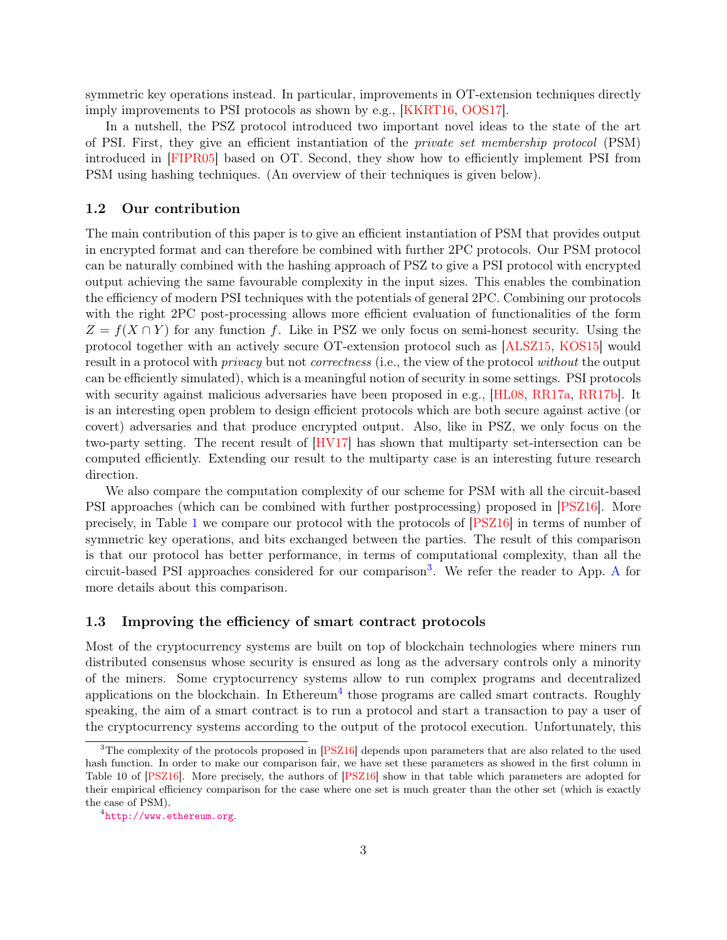symmetric key operations instead. In particular, improvements in OT-extension techniques directly imply improvements to PSI protocols as shown by e.g., [KKRT16, OOS17].

In a nutshell, the PSZ protocol introduced two important novel ideas to the state of the art of PSI. First, they give an efficient instantiation of the private set membership protocol (PSM) introduced in [FIPR05] based on OT. Second, they show how to efficiently implement PSI from PSM using hashing techniques. (An overview of their techniques is given below).

#### 1.2 Our contribution

The main contribution of this paper is to give an efficient instantiation of PSM that provides output in encrypted format and can therefore be combined with further 2PC protocols. Our PSM protocol can be naturally combined with the hashing approach of PSZ to give a PSI protocol with encrypted output achieving the same favourable complexity in the input sizes. This enables the combination the efficiency of modern PSI techniques with the potentials of general 2PC. Combining our protocols with the right 2PC post-processing allows more efficient evaluation of functionalities of the form  $Z = f(X \cap Y)$  for any function f. Like in PSZ we only focus on semi-honest security. Using the protocol together with an actively secure OT-extension protocol such as [ALSZ15, KOS15] would result in a protocol with *privacy* but not *correctness* (i.e., the view of the protocol without the output can be efficiently simulated), which is a meaningful notion of security in some settings. PSI protocols with security against malicious adversaries have been proposed in e.g., [HL08, RR17a, [RR17b\]](#page-28-1). It is an interesting open problem to design efficient protocols which are both secure against active (or covert) adversaries and that produce encrypted output. Also, like in PSZ, we only focus on the two-party setting. The recent result of [HV17] has shown that multiparty set-intersection can be computed efficiently. Extending our result to the multiparty case is an interesting future research direction.

We also compare the computation complexity of our scheme for PSM with all the circuit-based PSI approaches (which can be combined with further postprocessing) proposed in [\[PSZ16\]](#page-28-2). More precisely, in Table [1](#page-3-0) we compare our protocol with the protocols of [\[PSZ16\]](#page-28-2) in terms of number of symmetric key operations, and bits exchanged between the parties. The result of this comparison is that our protocol has better performance, in terms of computational complexity, than all the circuit-based PSI approaches considered for our comparison[3](#page-2-0) . We refer the reader to App. [A](#page-15-0) for more details about this comparison.

#### 1.3 Improving the efficiency of smart contract protocols

Most of the cryptocurrency systems are built on top of blockchain technologies where miners run distributed consensus whose security is ensured as long as the adversary controls only a minority of the miners. Some cryptocurrency systems allow to run complex programs and decentralized applications on the blockchain. In Ethereum<sup>[4](#page-2-1)</sup> those programs are called smart contracts. Roughly speaking, the aim of a smart contract is to run a protocol and start a transaction to pay a user of the cryptocurrency systems according to the output of the protocol execution. Unfortunately, this

<span id="page-2-0"></span><sup>&</sup>lt;sup>3</sup>The complexity of the protocols proposed in [\[PSZ16\]](#page-28-2) depends upon parameters that are also related to the used hash function. In order to make our comparison fair, we have set these parameters as showed in the first column in Table 10 of [\[PSZ16\]](#page-28-2). More precisely, the authors of [\[PSZ16\]](#page-28-2) show in that table which parameters are adopted for their empirical efficiency comparison for the case where one set is much greater than the other set (which is exactly the case of PSM).

<span id="page-2-1"></span><sup>4</sup> <http://www.ethereum.org>.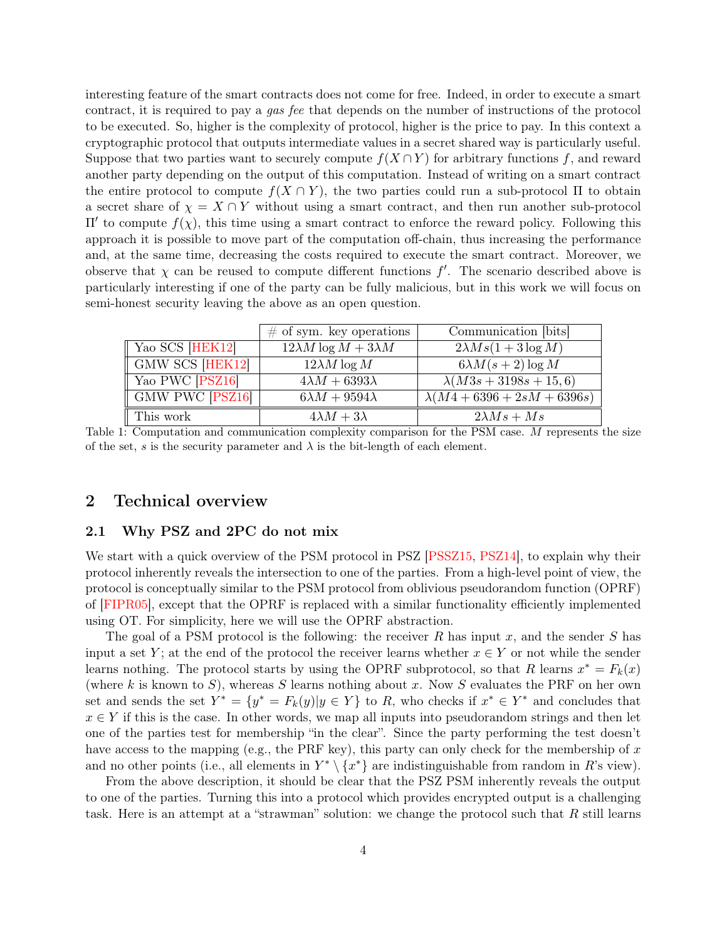interesting feature of the smart contracts does not come for free. Indeed, in order to execute a smart contract, it is required to pay a gas fee that depends on the number of instructions of the protocol to be executed. So, higher is the complexity of protocol, higher is the price to pay. In this context a cryptographic protocol that outputs intermediate values in a secret shared way is particularly useful. Suppose that two parties want to securely compute  $f(X \cap Y)$  for arbitrary functions f, and reward another party depending on the output of this computation. Instead of writing on a smart contract the entire protocol to compute  $f(X \cap Y)$ , the two parties could run a sub-protocol  $\Pi$  to obtain a secret share of  $\chi = X \cap Y$  without using a smart contract, and then run another sub-protocol II' to compute  $f(x)$ , this time using a smart contract to enforce the reward policy. Following this approach it is possible to move part of the computation off-chain, thus increasing the performance and, at the same time, decreasing the costs required to execute the smart contract. Moreover, we observe that  $\chi$  can be reused to compute different functions  $f'$ . The scenario described above is particularly interesting if one of the party can be fully malicious, but in this work we will focus on semi-honest security leaving the above as an open question.

<span id="page-3-0"></span>

|                 | $\#$ of sym. key operations       | Communication [bits]           |
|-----------------|-----------------------------------|--------------------------------|
| Yao SCS [HEK12] | $12\lambda M \log M + 3\lambda M$ | $2\lambda Ms(1+3\log M)$       |
| GMW SCS [HEK12] | $12\lambda M \log M$              | $6\lambda M(s+2)\log M$        |
| Yao PWC [PSZ16] | $4\lambda M + 6393\lambda$        | $\lambda(M3s + 3198s + 15, 6)$ |
| GMW PWC PSZ16   | $6\lambda M + 9594\lambda$        | $\lambda(M4+6396+2sM+6396s)$   |
| This work       | $4\lambda M + 3\lambda$           | $2\lambda Ms + Ms$             |

Table 1: Computation and communication complexity comparison for the PSM case. M represents the size of the set, s is the security parameter and  $\lambda$  is the bit-length of each element.

### <span id="page-3-1"></span>2 Technical overview

#### 2.1 Why PSZ and 2PC do not mix

We start with a quick overview of the PSM protocol in PSZ [PSSZ15, PSZ14], to explain why their protocol inherently reveals the intersection to one of the parties. From a high-level point of view, the protocol is conceptually similar to the PSM protocol from oblivious pseudorandom function (OPRF) of [FIPR05], except that the OPRF is replaced with a similar functionality efficiently implemented using OT. For simplicity, here we will use the OPRF abstraction.

The goal of a PSM protocol is the following: the receiver R has input x, and the sender S has input a set Y; at the end of the protocol the receiver learns whether  $x \in Y$  or not while the sender learns nothing. The protocol starts by using the OPRF subprotocol, so that R learns  $x^* = F_k(x)$ (where k is known to S), whereas S learns nothing about x. Now S evaluates the PRF on her own set and sends the set  $Y^* = \{y^* = F_k(y)|y \in Y\}$  to R, who checks if  $x^* \in Y^*$  and concludes that  $x \in Y$  if this is the case. In other words, we map all inputs into pseudorandom strings and then let one of the parties test for membership "in the clear". Since the party performing the test doesn't have access to the mapping (e.g., the PRF key), this party can only check for the membership of  $x$ and no other points (i.e., all elements in  $Y^* \setminus \{x^*\}$  are indistinguishable from random in R's view).

From the above description, it should be clear that the PSZ PSM inherently reveals the output to one of the parties. Turning this into a protocol which provides encrypted output is a challenging task. Here is an attempt at a "strawman" solution: we change the protocol such that  $R$  still learns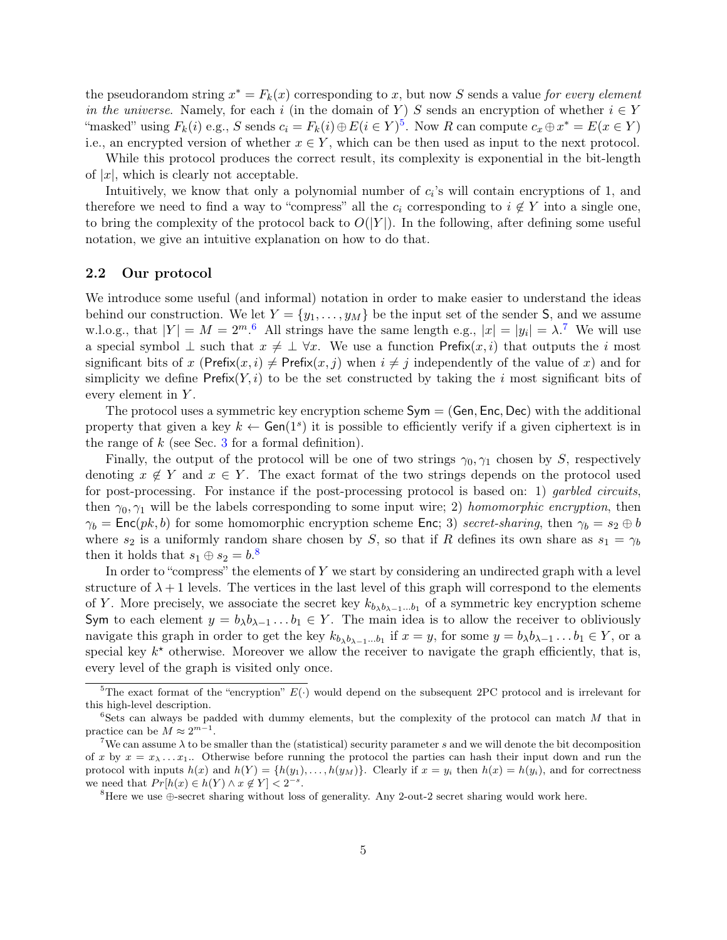the pseudorandom string  $x^* = F_k(x)$  corresponding to x, but now S sends a value for every element in the universe. Namely, for each i (in the domain of Y) S sends an encryption of whether  $i \in Y$ "masked" using  $F_k(i)$  e.g., S sends  $c_i = F_k(i) \oplus E(i \in Y)^5$  $c_i = F_k(i) \oplus E(i \in Y)^5$ . Now R can compute  $c_x \oplus x^* = E(x \in Y)$ i.e., an encrypted version of whether  $x \in Y$ , which can be then used as input to the next protocol.

While this protocol produces the correct result, its complexity is exponential in the bit-length of  $|x|$ , which is clearly not acceptable.

Intuitively, we know that only a polynomial number of  $c_i$ 's will contain encryptions of 1, and therefore we need to find a way to "compress" all the  $c_i$  corresponding to  $i \notin Y$  into a single one, to bring the complexity of the protocol back to  $O(|Y|)$ . In the following, after defining some useful notation, we give an intuitive explanation on how to do that.

#### 2.2 Our protocol

We introduce some useful (and informal) notation in order to make easier to understand the ideas behind our construction. We let  $Y = \{y_1, \ldots, y_M\}$  be the input set of the sender S, and we assume w.l.o.g., that  $|Y| = M = 2^m$ .<sup>[6](#page-4-1)</sup> All strings have the same length e.g.,  $|x| = |y_i| = \lambda$ .<sup>[7](#page-4-2)</sup> We will use a special symbol  $\perp$  such that  $x \neq \perp \forall x$ . We use a function Prefix $(x, i)$  that outputs the i most significant bits of x (Prefix(x, i)  $\neq$  Prefix(x, j) when  $i \neq j$  independently of the value of x) and for simplicity we define  $\text{Prefix}(Y, i)$  to be the set constructed by taking the i most significant bits of every element in Y.

The protocol uses a symmetric key encryption scheme  $Sym = (Gen, Enc, Dec)$  with the additional property that given a key  $k \leftarrow$  Gen(1<sup>s</sup>) it is possible to efficiently verify if a given ciphertext is in the range of  $k$  (see Sec. [3](#page-8-0) for a formal definition).

Finally, the output of the protocol will be one of two strings  $\gamma_0, \gamma_1$  chosen by S, respectively denoting  $x \notin Y$  and  $x \in Y$ . The exact format of the two strings depends on the protocol used for post-processing. For instance if the post-processing protocol is based on: 1) *garbled circuits*. then  $\gamma_0, \gamma_1$  will be the labels corresponding to some input wire; 2) homomorphic encryption, then  $\gamma_b = \textsf{Enc}(pk, b)$  for some homomorphic encryption scheme Enc; 3) secret-sharing, then  $\gamma_b = s_2 \oplus b$ where  $s_2$  is a uniformly random share chosen by S, so that if R defines its own share as  $s_1 = \gamma_b$ then it holds that  $s_1 \oplus s_2 = b$ .<sup>[8](#page-4-3)</sup>

In order to "compress" the elements of Y we start by considering an undirected graph with a level structure of  $\lambda + 1$  levels. The vertices in the last level of this graph will correspond to the elements of Y. More precisely, we associate the secret key  $k_{b_{\lambda}b_{\lambda-1}...b_1}$  of a symmetric key encryption scheme Sym to each element  $y = b_{\lambda}b_{\lambda-1}...b_1 \in Y$ . The main idea is to allow the receiver to obliviously navigate this graph in order to get the key  $k_{b\lambda b\lambda-1...b_1}$  if  $x = y$ , for some  $y = b_{\lambda}b_{\lambda-1}...b_1 \in Y$ , or a special key  $k^*$  otherwise. Moreover we allow the receiver to navigate the graph efficiently, that is, every level of the graph is visited only once.

<span id="page-4-0"></span><sup>&</sup>lt;sup>5</sup>The exact format of the "encryption"  $E(.)$  would depend on the subsequent 2PC protocol and is irrelevant for this high-level description.

<span id="page-4-1"></span> $6$ Sets can always be padded with dummy elements, but the complexity of the protocol can match  $M$  that in practice can be  $M \approx 2^{m-1}$ .

<span id="page-4-2"></span><sup>&</sup>lt;sup>7</sup>We can assume  $\lambda$  to be smaller than the (statistical) security parameter s and we will denote the bit decomposition of x by  $x = x_{\lambda} \dots x_1$ . Otherwise before running the protocol the parties can hash their input down and run the protocol with inputs  $h(x)$  and  $h(Y) = \{h(y_1), \ldots, h(y_M)\}\.$  Clearly if  $x = y_i$  then  $h(x) = h(y_i)$ , and for correctness we need that  $Pr[h(x) \in h(Y) \land x \notin Y] < 2^{-s}$ .

<span id="page-4-3"></span><sup>8</sup>Here we use ⊕-secret sharing without loss of generality. Any 2-out-2 secret sharing would work here.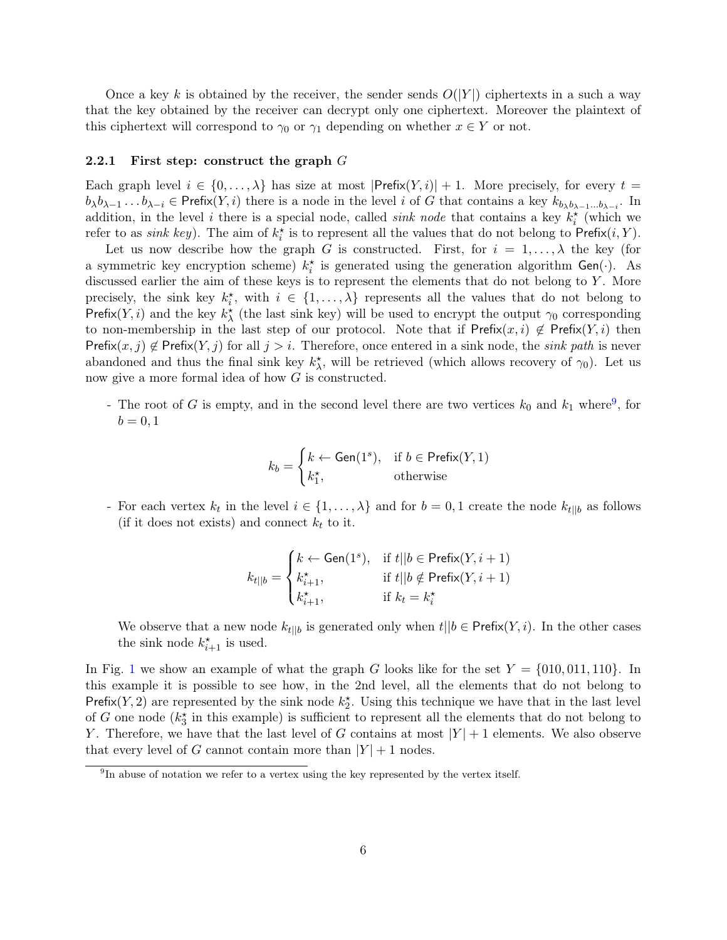Once a key k is obtained by the receiver, the sender sends  $O(|Y|)$  ciphertexts in a such a way that the key obtained by the receiver can decrypt only one ciphertext. Moreover the plaintext of this ciphertext will correspond to  $\gamma_0$  or  $\gamma_1$  depending on whether  $x \in Y$  or not.

#### 2.2.1 First step: construct the graph  $G$

Each graph level  $i \in \{0, \ldots, \lambda\}$  has size at most  $|\mathsf{Prefix}(Y, i)| + 1$ . More precisely, for every  $t =$  $b_{\lambda}b_{\lambda-1} \ldots b_{\lambda-i} \in \text{Prefix}(Y, i)$  there is a node in the level i of G that contains a key  $k_{b_{\lambda}b_{\lambda-1}...b_{\lambda-i}}$ . In addition, in the level i there is a special node, called *sink node* that contains a key  $k_i^*$  (which we refer to as *sink key*). The aim of  $k_i^*$  is to represent all the values that do not belong to  $\text{Prefix}(i, Y)$ .

Let us now describe how the graph G is constructed. First, for  $i = 1, \ldots, \lambda$  the key (for a symmetric key encryption scheme)  $k_i^*$  is generated using the generation algorithm Gen( $\cdot$ ). As discussed earlier the aim of these keys is to represent the elements that do not belong to  $Y$ . More precisely, the sink key  $k_i^*$ , with  $i \in \{1, ..., \lambda\}$  represents all the values that do not belong to Prefix(Y, i) and the key  $k^*_{\lambda}$  (the last sink key) will be used to encrypt the output  $\gamma_0$  corresponding to non-membership in the last step of our protocol. Note that if Prefix $(x, i) \notin \text{Prefix}(Y, i)$  then Prefix $(x, j) \notin$  Prefix $(Y, j)$  for all  $j > i$ . Therefore, once entered in a sink node, the *sink path* is never abandoned and thus the final sink key  $k^*_{\lambda}$ , will be retrieved (which allows recovery of  $\gamma_0$ ). Let us now give a more formal idea of how G is constructed.

- The root of G is empty, and in the second level there are two vertices  $k_0$  and  $k_1$  where<sup>[9](#page-5-0)</sup>, for  $b = 0, 1$ 

$$
k_b = \begin{cases} k \leftarrow \text{Gen}(1^s), & \text{if } b \in \text{Prefix}(Y, 1) \\ k_1^{\star}, & \text{otherwise} \end{cases}
$$

- For each vertex  $k_t$  in the level  $i \in \{1, ..., \lambda\}$  and for  $b = 0, 1$  create the node  $k_{t||b}$  as follows (if it does not exists) and connect  $k_t$  to it.

$$
k_{t||b} = \begin{cases} k \leftarrow \text{Gen}(1^s), & \text{if } t||b \in \text{Prefix}(Y, i+1) \\ k_{i+1}^{\star}, & \text{if } t||b \notin \text{Prefix}(Y, i+1) \\ k_{i+1}^{\star}, & \text{if } k_t = k_i^{\star} \end{cases}
$$

We observe that a new node  $k_{t||b}$  is generated only when  $t||b \in \text{Prefix}(Y, i)$ . In the other cases the sink node  $k_{i+1}^*$  is used.

In Fig. [1](#page-6-0) we show an example of what the graph G looks like for the set  $Y = \{010, 011, 110\}$ . In this example it is possible to see how, in the 2nd level, all the elements that do not belong to Prefix(Y, 2) are represented by the sink node  $k_2^*$ . Using this technique we have that in the last level of G one node  $(k_3^*$  in this example) is sufficient to represent all the elements that do not belong to Y. Therefore, we have that the last level of G contains at most  $|Y|+1$  elements. We also observe that every level of G cannot contain more than  $|Y|+1$  nodes.

<span id="page-5-0"></span><sup>&</sup>lt;sup>9</sup>In abuse of notation we refer to a vertex using the key represented by the vertex itself.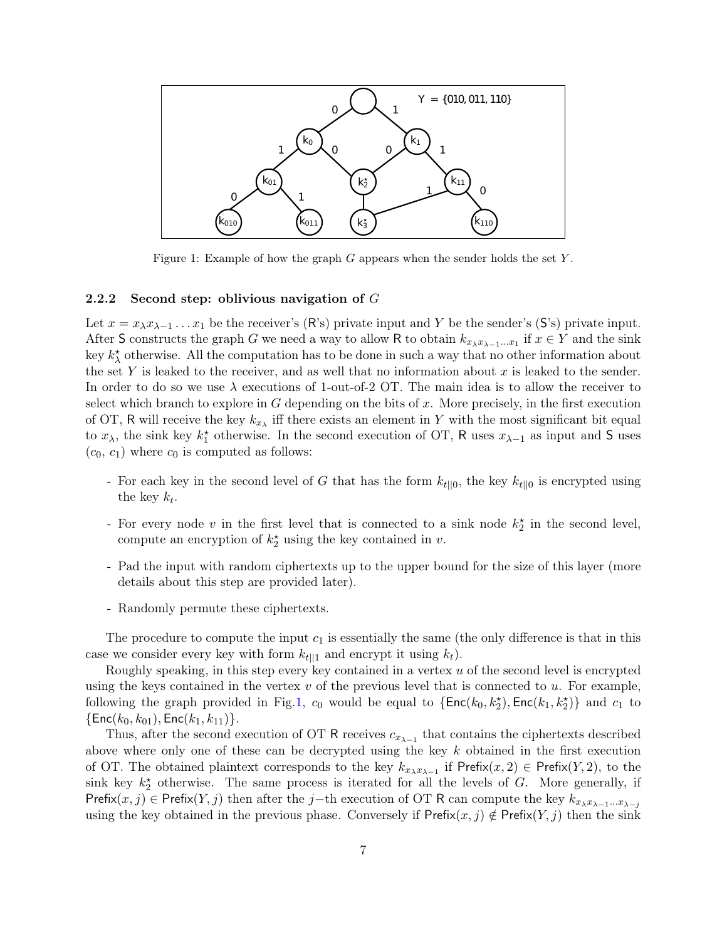<span id="page-6-0"></span>

Figure 1: Example of how the graph  $G$  appears when the sender holds the set  $Y$ .

#### 2.2.2 Second step: oblivious navigation of  $G$

Let  $x = x_{\lambda}x_{\lambda-1}...x_1$  be the receiver's (R's) private input and Y be the sender's (S's) private input. After S constructs the graph G we need a way to allow R to obtain  $k_{x_{\lambda}x_{\lambda-1}...x_1}$  if  $x \in Y$  and the sink key  $k^*_{\lambda}$  otherwise. All the computation has to be done in such a way that no other information about the set Y is leaked to the receiver, and as well that no information about x is leaked to the sender. In order to do so we use  $\lambda$  executions of 1-out-of-2 OT. The main idea is to allow the receiver to select which branch to explore in  $G$  depending on the bits of  $x$ . More precisely, in the first execution of OT, R will receive the key  $k_{x_{\lambda}}$  iff there exists an element in Y with the most significant bit equal to  $x_{\lambda}$ , the sink key  $k_1^*$  otherwise. In the second execution of OT, R uses  $x_{\lambda-1}$  as input and S uses  $(c_0, c_1)$  where  $c_0$  is computed as follows:

- For each key in the second level of G that has the form  $k_{t||0}$ , the key  $k_{t||0}$  is encrypted using the key  $k_t$ .
- For every node v in the first level that is connected to a sink node  $k_2^*$  in the second level, compute an encryption of  $k_2^*$  using the key contained in v.
- Pad the input with random ciphertexts up to the upper bound for the size of this layer (more details about this step are provided later).
- Randomly permute these ciphertexts.

The procedure to compute the input  $c_1$  is essentially the same (the only difference is that in this case we consider every key with form  $k_{t|1}$  and encrypt it using  $k_t$ ).

Roughly speaking, in this step every key contained in a vertex  $u$  of the second level is encrypted using the keys contained in the vertex  $v$  of the previous level that is connected to  $u$ . For example, following the graph provided in Fig.[1](#page-6-0),  $c_0$  would be equal to  $\{\textsf{Enc}(k_0, k_2^{\star}), \textsf{Enc}(k_1, k_2^{\star})\}$  and  $c_1$  to  $\{Enc(k_0, k_{01}), Enc(k_1, k_{11})\}.$ 

Thus, after the second execution of OT R receives  $c_{x_{\lambda-1}}$  that contains the ciphertexts described above where only one of these can be decrypted using the key  $k$  obtained in the first execution of OT. The obtained plaintext corresponds to the key  $k_{x_{\lambda}x_{\lambda-1}}$  if Prefix $(x, 2) \in$  Prefix $(Y, 2)$ , to the sink key  $k_2^*$  otherwise. The same process is iterated for all the levels of G. More generally, if Prefix(x, j) ∈ Prefix(Y, j) then after the j–th execution of OT R can compute the key  $k_{x_{\lambda}x_{\lambda-1}...x_{\lambda-j}}$ using the key obtained in the previous phase. Conversely if  $\mathsf{Prefix}(x, j) \notin \mathsf{Prefix}(Y, j)$  then the sink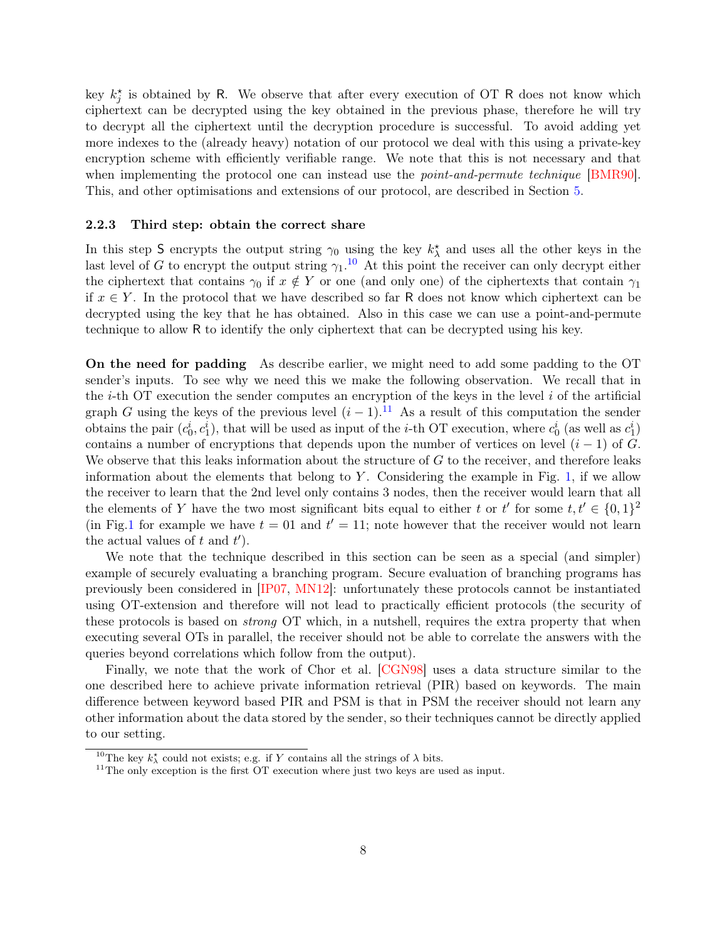key  $k_j^*$  is obtained by R. We observe that after every execution of OT R does not know which ciphertext can be decrypted using the key obtained in the previous phase, therefore he will try to decrypt all the ciphertext until the decryption procedure is successful. To avoid adding yet more indexes to the (already heavy) notation of our protocol we deal with this using a private-key encryption scheme with efficiently verifiable range. We note that this is not necessary and that when implementing the protocol one can instead use the *point-and-permute technique* [\[BMR90\]](#page-25-1). This, and other optimisations and extensions of our protocol, are described in Section [5.](#page-11-0)

#### 2.2.3 Third step: obtain the correct share

In this step S encrypts the output string  $\gamma_0$  using the key  $k^*_{\lambda}$  and uses all the other keys in the last level of G to encrypt the output string  $\gamma_1$ .<sup>[10](#page-7-0)</sup> At this point the receiver can only decrypt either the ciphertext that contains  $\gamma_0$  if  $x \notin Y$  or one (and only one) of the ciphertexts that contain  $\gamma_1$ if  $x \in Y$ . In the protocol that we have described so far R does not know which ciphertext can be decrypted using the key that he has obtained. Also in this case we can use a point-and-permute technique to allow R to identify the only ciphertext that can be decrypted using his key.

On the need for padding As describe earlier, we might need to add some padding to the OT sender's inputs. To see why we need this we make the following observation. We recall that in the  $i$ -th OT execution the sender computes an encryption of the keys in the level  $i$  of the artificial graph G using the keys of the previous level  $(i-1)$ .<sup>[11](#page-7-1)</sup> As a result of this computation the sender obtains the pair  $(c_0^i, c_1^i)$ , that will be used as input of the *i*-th OT execution, where  $c_0^i$  (as well as  $c_1^i$ ) contains a number of encryptions that depends upon the number of vertices on level  $(i - 1)$  of G. We observe that this leaks information about the structure of  $G$  to the receiver, and therefore leaks information about the elements that belong to  $Y$ . Considering the example in Fig. [1,](#page-6-0) if we allow the receiver to learn that the 2nd level only contains 3 nodes, then the receiver would learn that all the elements of Y have the two most significant bits equal to either t or t' for some  $t, t' \in \{0, 1\}^2$ (in Fig[.1](#page-6-0) for example we have  $t = 01$  and  $t' = 11$ ; note however that the receiver would not learn the actual values of  $t$  and  $t'$ ).

We note that the technique described in this section can be seen as a special (and simpler) example of securely evaluating a branching program. Secure evaluation of branching programs has previously been considered in [IP07, MN12]: unfortunately these protocols cannot be instantiated using OT-extension and therefore will not lead to practically efficient protocols (the security of these protocols is based on strong OT which, in a nutshell, requires the extra property that when executing several OTs in parallel, the receiver should not be able to correlate the answers with the queries beyond correlations which follow from the output).

Finally, we note that the work of Chor et al. [CGN98] uses a data structure similar to the one described here to achieve private information retrieval (PIR) based on keywords. The main difference between keyword based PIR and PSM is that in PSM the receiver should not learn any other information about the data stored by the sender, so their techniques cannot be directly applied to our setting.

<sup>&</sup>lt;sup>10</sup>The key  $k^{\star}$  could not exists; e.g. if Y contains all the strings of  $\lambda$  bits.

<span id="page-7-1"></span><span id="page-7-0"></span> $11$ The only exception is the first OT execution where just two keys are used as input.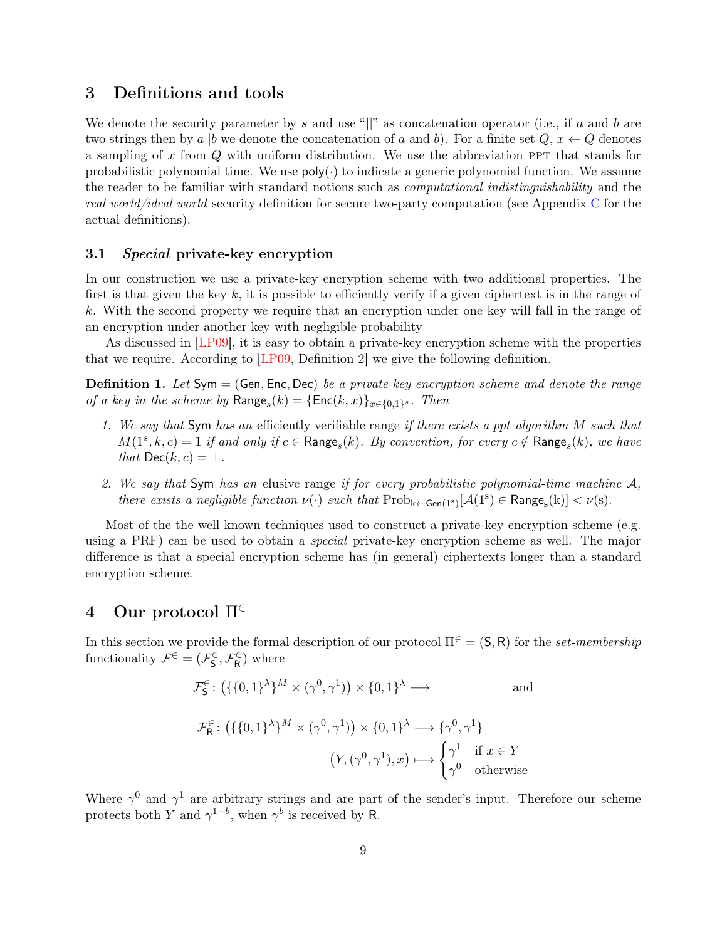## <span id="page-8-0"></span>3 Definitions and tools

We denote the security parameter by s and use " $||$ " as concatenation operator (i.e., if a and b are two strings then by a||b we denote the concatenation of a and b). For a finite set  $Q, x \leftarrow Q$  denotes a sampling of x from  $Q$  with uniform distribution. We use the abbreviation PPT that stands for probabilistic polynomial time. We use  $poly(\cdot)$  to indicate a generic polynomial function. We assume the reader to be familiar with standard notions such as computational indistinguishability and the real world/ideal world security definition for secure two-party computation (see Appendix [C](#page-23-0) for the actual definitions).

#### 3.1 Special private-key encryption

In our construction we use a private-key encryption scheme with two additional properties. The first is that given the key  $k$ , it is possible to efficiently verify if a given ciphertext is in the range of k. With the second property we require that an encryption under one key will fall in the range of an encryption under another key with negligible probability

As discussed in [\[LP09\]](#page-27-0), it is easy to obtain a private-key encryption scheme with the properties that we require. According to [\[LP09,](#page-27-0) Definition 2] we give the following definition.

**Definition 1.** Let  $Sym = (Gen, Enc, Dec)$  be a private-key encryption scheme and denote the range of a key in the scheme by  $\text{Range}_s(k) = {\text{Enc}(k, x)}_{x \in \{0,1\}^s}$ . Then

- 1. We say that Sym has an efficiently verifiable range if there exists a ppt algorithm M such that  $M(1^s, k, c) = 1$  if and only if  $c \in \text{Range}_s(k)$ . By convention, for every  $c \notin \text{Range}_s(k)$ , we have that  $\mathsf{Dec}(k, c) = \perp$ .
- 2. We say that Sym has an elusive range if for every probabilistic polynomial-time machine  $A$ , there exists a negligible function  $\nu(\cdot)$  such that  $\text{Prob}_{k\leftarrow \text{Gen}(1^s)}[\mathcal{A}(1^s) \in \text{Range}_s(k)] < \nu(s)$ .

Most of the the well known techniques used to construct a private-key encryption scheme (e.g. using a PRF) can be used to obtain a *special* private-key encryption scheme as well. The major difference is that a special encryption scheme has (in general) ciphertexts longer than a standard encryption scheme.

## 4 Our protocol  $\Pi^{\in}$

In this section we provide the formal description of our protocol  $\Pi^{\in} = (S, R)$  for the set-membership functionality  $\mathcal{F}^{\in} = (\mathcal{F}_{\mathsf{S}}^{\in}, \mathcal{F}_{\mathsf{R}}^{\in})$  where

$$
\mathcal{F}_{\mathsf{S}}^{\in} \colon \left( \{ \{0,1\}^{\lambda} \}^{M} \times (\gamma^0, \gamma^1) \right) \times \{0,1\}^{\lambda} \longrightarrow \bot \qquad \text{and}
$$
\n
$$
\mathcal{F}_{\mathsf{R}}^{\in} \colon \left( \{ \{0,1\}^{\lambda} \}^{M} \times (\gamma^0, \gamma^1) \right) \times \{0,1\}^{\lambda} \longrightarrow \{ \gamma^0, \gamma^1 \}
$$
\n
$$
\left( Y, (\gamma^0, \gamma^1), x \right) \longmapsto \begin{cases} \gamma^1 & \text{if } x \in Y \\ \gamma^0 & \text{otherwise} \end{cases}
$$

Where  $\gamma^0$  and  $\gamma^1$  are arbitrary strings and are part of the sender's input. Therefore our scheme protects both Y and  $\gamma^{1-b}$ , when  $\gamma^b$  is received by R.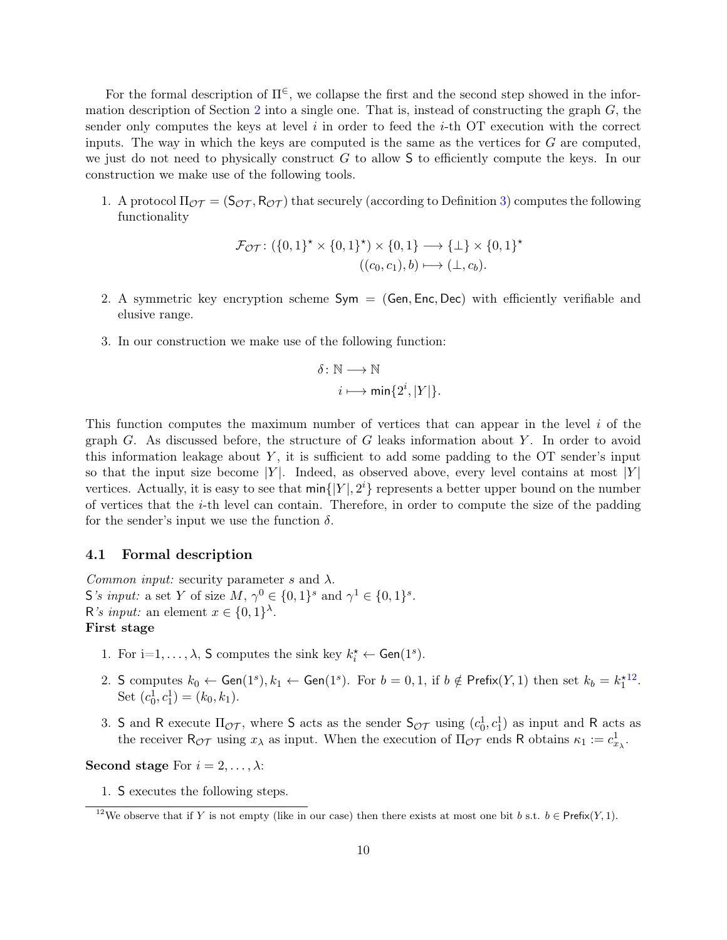For the formal description of  $\Pi^{\in}$ , we collapse the first and the second step showed in the infor-mation description of Section [2](#page-3-1) into a single one. That is, instead of constructing the graph  $G$ , the sender only computes the keys at level  $i$  in order to feed the  $i$ -th OT execution with the correct inputs. The way in which the keys are computed is the same as the vertices for  $G$  are computed, we just do not need to physically construct  $G$  to allow  $S$  to efficiently compute the keys. In our construction we make use of the following tools.

1. A protocol  $\Pi_{\mathcal{OT}} = (\mathsf{S}_{\mathcal{OT}}, \mathsf{R}_{\mathcal{OT}})$  that securely (according to Definition [3\)](#page-24-0) computes the following functionality

$$
\mathcal{F}_{\mathcal{OT}} \colon (\{0,1\}^* \times \{0,1\}^*) \times \{0,1\} \longrightarrow \{\bot\} \times \{0,1\}^*
$$

$$
((c_0, c_1), b) \longmapsto (\bot, c_b).
$$

- 2. A symmetric key encryption scheme  $Sym = (Gen, Enc, Dec)$  with efficiently verifiable and elusive range.
- 3. In our construction we make use of the following function:

$$
\delta: \mathbb{N} \longrightarrow \mathbb{N}
$$

$$
i \longmapsto \min\{2^i, |Y|\}.
$$

This function computes the maximum number of vertices that can appear in the level  $i$  of the graph G. As discussed before, the structure of G leaks information about Y. In order to avoid this information leakage about  $Y$ , it is sufficient to add some padding to the  $\overline{OT}$  sender's input so that the input size become |Y|. Indeed, as observed above, every level contains at most |Y| vertices. Actually, it is easy to see that  $\min\{|Y|, 2^i\}$  represents a better upper bound on the number of vertices that the i-th level can contain. Therefore, in order to compute the size of the padding for the sender's input we use the function  $\delta$ .

#### <span id="page-9-1"></span>4.1 Formal description

Common input: security parameter s and  $\lambda$ . S's input: a set Y of size  $M, \gamma^0 \in \{0,1\}^s$  and  $\gamma^1 \in \{0,1\}^s$ . R's *input*: an element  $x \in \{0,1\}^{\lambda}$ . First stage

- 1. For  $i=1,\ldots,\lambda$ , S computes the sink key  $k_i^* \leftarrow$  Gen(1<sup>s</sup>).
- 2. S computes  $k_0 \leftarrow \textsf{Gen}(1^s), k_1 \leftarrow \textsf{Gen}(1^s)$ . For  $b = 0, 1$ , if  $b \notin \textsf{Prefix}(Y, 1)$  then set  $k_b = k_1^*$ [12](#page-9-0) . Set  $(c_0^1, c_1^1) = (k_0, k_1)$ .
- 3. S and R execute  $\Pi_{\mathcal{OT}}$ , where S acts as the sender  $\mathsf{S}_{\mathcal{OT}}$  using  $(c_0^1, c_1^1)$  as input and R acts as the receiver  $R_{\mathcal{OT}}$  using  $x_{\lambda}$  as input. When the execution of  $\Pi_{\mathcal{OT}}$  ends R obtains  $\kappa_1 := c_{x_{\lambda}}^1$ .

Second stage For  $i = 2, \ldots, \lambda$ :

1. S executes the following steps.

<span id="page-9-0"></span><sup>&</sup>lt;sup>12</sup>We observe that if Y is not empty (like in our case) then there exists at most one bit b s.t.  $b \in \text{Prefix}(Y, 1)$ .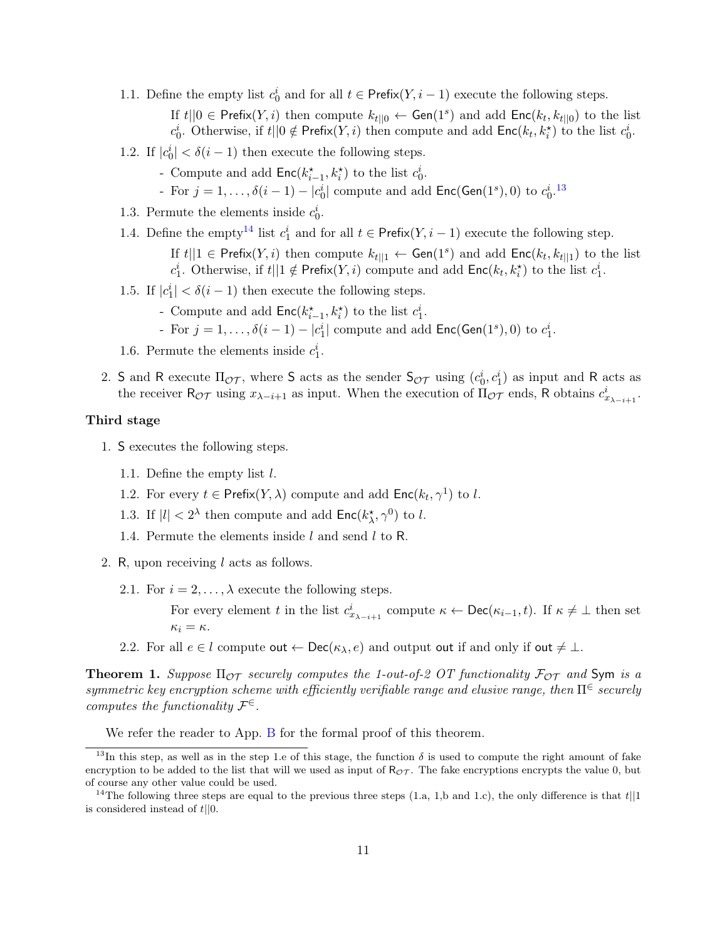- 1.1. Define the empty list  $c_0^i$  and for all  $t \in \text{Prefix}(Y, i-1)$  execute the following steps. If  $t||0 \in \text{Prefix}(Y, i)$  then compute  $k_{t||0} \leftarrow \text{Gen}(1^s)$  and add  $\text{Enc}(k_t, k_{t||0})$  to the list  $c_0^i$ . Otherwise, if  $t||0 \notin \text{Prefix}(Y, i)$  then compute and add  $\text{Enc}(k_t, k_i^{\star})$  to the list  $c_0^i$ .
- 1.2. If  $|c_0^i| < \delta(i-1)$  then execute the following steps.
	- Compute and add  $\mathsf{Enc}(k_{i-1}^*, k_i^*)$  to the list  $c_0^i$ .
	- For  $j = 1, ..., \delta(i 1) |c_0^i|$  compute and add  $Enc(Gen(1<sup>s</sup>), 0)$  to  $c_0^i$ .<sup>[13](#page-10-0)</sup>
- 1.3. Permute the elements inside  $c_0^i$ .
- 1.4. Define the empty<sup>[14](#page-10-1)</sup> list  $c_1^i$  and for all  $t \in \text{Prefix}(Y, i-1)$  execute the following step.
	- If  $t||1 \in \text{Prefix}(Y, i)$  then compute  $k_{t||1} \leftarrow \text{Gen}(1^s)$  and add  $\text{Enc}(k_t, k_{t||1})$  to the list  $c_1^i$ . Otherwise, if  $t||1 \notin \text{Prefix}(Y, i)$  compute and add  $\text{Enc}(k_t, k_i^{\star})$  to the list  $c_1^i$ .
- 1.5. If  $|c_1^i| < \delta(i-1)$  then execute the following steps.
	- Compute and add  $\mathsf{Enc}(k_{i-1}^*, k_i^*)$  to the list  $c_1^i$ .
	- For  $j = 1, ..., \delta(i-1) |c_1^i|$  compute and add  $Enc(Gen(1^s), 0)$  to  $c_1^i$ .
- 1.6. Permute the elements inside  $c_1^i$ .
- 2. S and R execute  $\Pi_{\mathcal{OT}}$ , where S acts as the sender  $\mathsf{S}_{\mathcal{OT}}$  using  $(c_0^i, c_1^i)$  as input and R acts as the receiver  $R_{\mathcal{OT}}$  using  $x_{\lambda-i+1}$  as input. When the execution of  $\Pi_{\mathcal{OT}}$  ends, R obtains  $c_{x_{\lambda-i+1}}^i$ .

#### Third stage

- 1. S executes the following steps.
	- 1.1. Define the empty list l.
	- 1.2. For every  $t \in \text{Prefix}(Y, \lambda)$  compute and add  $\text{Enc}(k_t, \gamma^1)$  to l.
	- 1.3. If  $|l| < 2^{\lambda}$  then compute and add  $\mathsf{Enc}(k_{\lambda}^*, \gamma^0)$  to l.
	- 1.4. Permute the elements inside  $l$  and send  $l$  to R.
- 2. R, upon receiving l acts as follows.
	- 2.1. For  $i = 2, ..., \lambda$  execute the following steps.

For every element t in the list  $c_{x_{\lambda-i+1}}^i$  compute  $\kappa \leftarrow \mathsf{Dec}(\kappa_{i-1}, t)$ . If  $\kappa \neq \bot$  then set  $\kappa_i = \kappa$ .

2.2. For all  $e \in l$  compute out  $\leftarrow$  Dec( $\kappa_{\lambda}, e$ ) and output out if and only if out  $\neq \bot$ .

<span id="page-10-2"></span>**Theorem 1.** Suppose  $\Pi_{\mathcal{OT}}$  securely computes the 1-out-of-2 OT functionality  $\mathcal{F}_{\mathcal{OT}}$  and Sym is a symmetric key encryption scheme with efficiently verifiable range and elusive range, then  $\Pi^{\in}$  securely computes the functionality  $\mathcal{F}^{\in}$ .

We refer the reader to App. [B](#page-16-0) for the formal proof of this theorem.

<span id="page-10-0"></span><sup>&</sup>lt;sup>13</sup>In this step, as well as in the step 1.e of this stage, the function  $\delta$  is used to compute the right amount of fake encryption to be added to the list that will we used as input of  $R_{\mathcal{OT}}$ . The fake encryptions encrypts the value 0, but of course any other value could be used.

<span id="page-10-1"></span><sup>&</sup>lt;sup>14</sup>The following three steps are equal to the previous three steps (1.a, 1,b and 1.c), the only difference is that  $t||1$ is considered instead of  $t||0$ .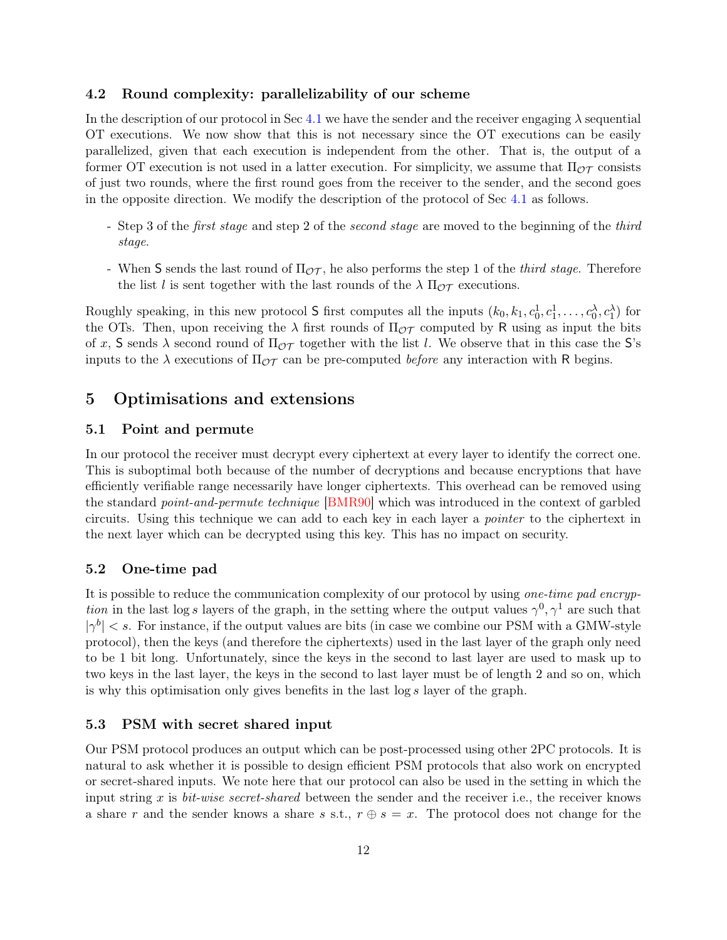#### 4.2 Round complexity: parallelizability of our scheme

In the description of our protocol in Sec [4.1](#page-9-1) we have the sender and the receiver engaging  $\lambda$  sequential OT executions. We now show that this is not necessary since the OT executions can be easily parallelized, given that each execution is independent from the other. That is, the output of a former OT execution is not used in a latter execution. For simplicity, we assume that  $\Pi_{\mathcal{OT}}$  consists of just two rounds, where the first round goes from the receiver to the sender, and the second goes in the opposite direction. We modify the description of the protocol of Sec [4.1](#page-9-1) as follows.

- Step 3 of the *first stage* and step 2 of the *second stage* are moved to the beginning of the *third* stage.
- When S sends the last round of  $\Pi_{\mathcal{OT}}$ , he also performs the step 1 of the *third stage*. Therefore the list l is sent together with the last rounds of the  $\lambda \Pi_{\mathcal{OT}}$  executions.

Roughly speaking, in this new protocol S first computes all the inputs  $(k_0, k_1, c_0^1, c_1^1, \ldots, c_0^{\lambda}, c_1^{\lambda})$  for the OTs. Then, upon receiving the  $\lambda$  first rounds of  $\Pi_{\mathcal{OT}}$  computed by R using as input the bits of x, S sends  $\lambda$  second round of  $\Pi_{\mathcal{OT}}$  together with the list l. We observe that in this case the S's inputs to the  $\lambda$  executions of  $\Pi_{\mathcal{OT}}$  can be pre-computed *before* any interaction with R begins.

## <span id="page-11-0"></span>5 Optimisations and extensions

#### 5.1 Point and permute

In our protocol the receiver must decrypt every ciphertext at every layer to identify the correct one. This is suboptimal both because of the number of decryptions and because encryptions that have efficiently verifiable range necessarily have longer ciphertexts. This overhead can be removed using the standard point-and-permute technique [\[BMR90\]](#page-25-1) which was introduced in the context of garbled circuits. Using this technique we can add to each key in each layer a pointer to the ciphertext in the next layer which can be decrypted using this key. This has no impact on security.

#### 5.2 One-time pad

It is possible to reduce the communication complexity of our protocol by using one-time pad encryption in the last log s layers of the graph, in the setting where the output values  $\gamma^0$ ,  $\gamma^1$  are such that  $|\gamma^{b}| < s$ . For instance, if the output values are bits (in case we combine our PSM with a GMW-style protocol), then the keys (and therefore the ciphertexts) used in the last layer of the graph only need to be 1 bit long. Unfortunately, since the keys in the second to last layer are used to mask up to two keys in the last layer, the keys in the second to last layer must be of length 2 and so on, which is why this optimisation only gives benefits in the last log s layer of the graph.

#### 5.3 PSM with secret shared input

Our PSM protocol produces an output which can be post-processed using other 2PC protocols. It is natural to ask whether it is possible to design efficient PSM protocols that also work on encrypted or secret-shared inputs. We note here that our protocol can also be used in the setting in which the input string x is bit-wise secret-shared between the sender and the receiver i.e., the receiver knows a share r and the sender knows a share s s.t.,  $r \oplus s = x$ . The protocol does not change for the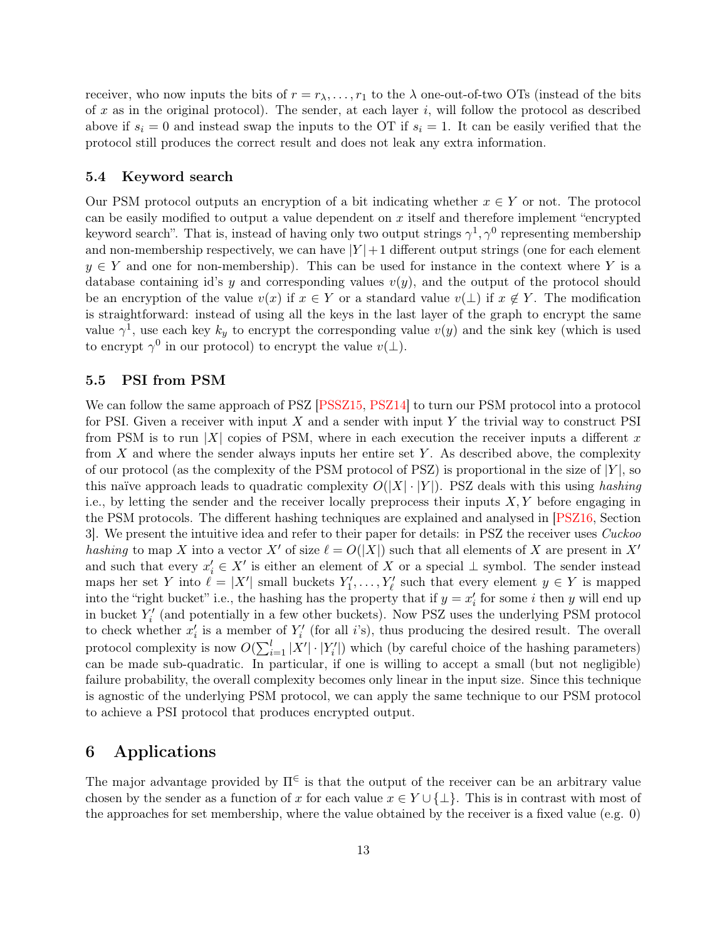receiver, who now inputs the bits of  $r = r_{\lambda}, \ldots, r_1$  to the  $\lambda$  one-out-of-two OTs (instead of the bits of x as in the original protocol). The sender, at each layer  $i$ , will follow the protocol as described above if  $s_i = 0$  and instead swap the inputs to the OT if  $s_i = 1$ . It can be easily verified that the protocol still produces the correct result and does not leak any extra information.

#### 5.4 Keyword search

Our PSM protocol outputs an encryption of a bit indicating whether  $x \in Y$  or not. The protocol can be easily modified to output a value dependent on  $x$  itself and therefore implement "encrypted" keyword search". That is, instead of having only two output strings  $\gamma^1, \gamma^0$  representing membership and non-membership respectively, we can have  $|Y|+1$  different output strings (one for each element  $y \in Y$  and one for non-membership). This can be used for instance in the context where Y is a database containing id's y and corresponding values  $v(y)$ , and the output of the protocol should be an encryption of the value  $v(x)$  if  $x \in Y$  or a standard value  $v(\perp)$  if  $x \notin Y$ . The modification is straightforward: instead of using all the keys in the last layer of the graph to encrypt the same value  $\gamma^1$ , use each key  $k_y$  to encrypt the corresponding value  $v(y)$  and the sink key (which is used to encrypt  $\gamma^0$  in our protocol) to encrypt the value  $v(\perp)$ .

#### 5.5 PSI from PSM

We can follow the same approach of PSZ [PSSZ15, PSZ14] to turn our PSM protocol into a protocol for PSI. Given a receiver with input  $X$  and a sender with input  $Y$  the trivial way to construct PSI from PSM is to run |X| copies of PSM, where in each execution the receiver inputs a different x from  $X$  and where the sender always inputs her entire set  $Y$ . As described above, the complexity of our protocol (as the complexity of the PSM protocol of PSZ) is proportional in the size of  $|Y|$ , so this naïve approach leads to quadratic complexity  $O(|X| \cdot |Y|)$ . PSZ deals with this using hashing i.e., by letting the sender and the receiver locally preprocess their inputs  $X, Y$  before engaging in the PSM protocols. The different hashing techniques are explained and analysed in [\[PSZ16,](#page-28-2) Section 3]. We present the intuitive idea and refer to their paper for details: in PSZ the receiver uses Cuckoo hashing to map X into a vector X' of size  $\ell = O(|X|)$  such that all elements of X are present in X' and such that every  $x'_i \in X'$  is either an element of X or a special  $\perp$  symbol. The sender instead maps her set Y into  $\ell = |X'|$  small buckets  $Y'_1, \ldots, Y'_{\ell}$  such that every element  $y \in Y$  is mapped into the "right bucket" i.e., the hashing has the property that if  $y = x_i'$  for some i then y will end up in bucket  $Y_i'$  (and potentially in a few other buckets). Now PSZ uses the underlying PSM protocol to check whether  $x'_i$  is a member of  $Y'_i$  (for all i's), thus producing the desired result. The overall protocol complexity is now  $O(\sum_{i=1}^{l} |X'| \cdot |Y'_i|)$  which (by careful choice of the hashing parameters) can be made sub-quadratic. In particular, if one is willing to accept a small (but not negligible) failure probability, the overall complexity becomes only linear in the input size. Since this technique is agnostic of the underlying PSM protocol, we can apply the same technique to our PSM protocol to achieve a PSI protocol that produces encrypted output.

## 6 Applications

The major advantage provided by  $\Pi^{\in}$  is that the output of the receiver can be an arbitrary value chosen by the sender as a function of x for each value  $x \in Y \cup \{\perp\}$ . This is in contrast with most of the approaches for set membership, where the value obtained by the receiver is a fixed value (e.g. 0)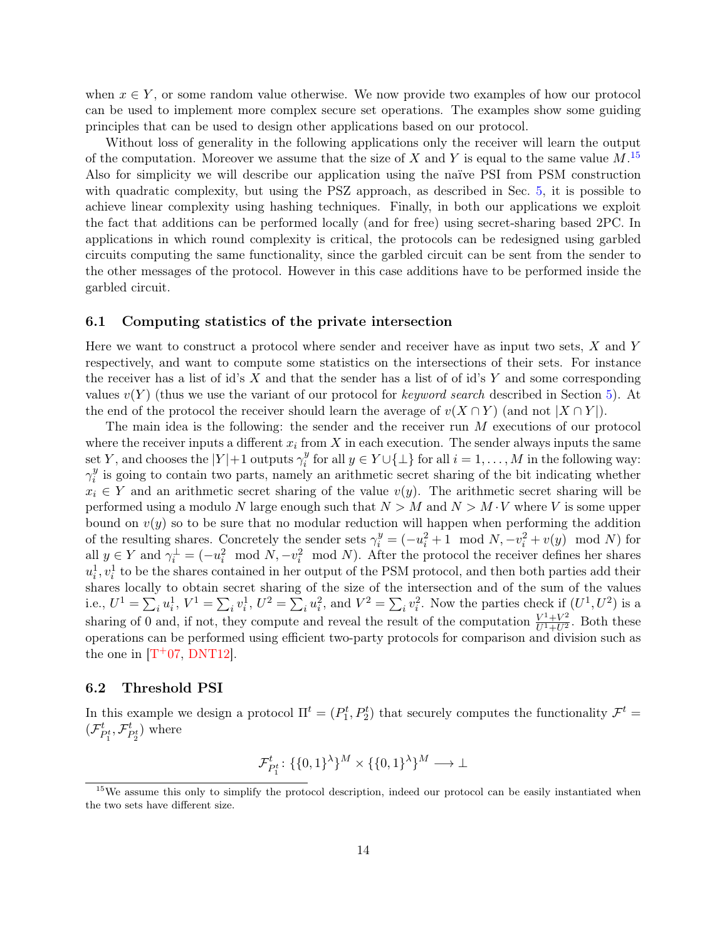when  $x \in Y$ , or some random value otherwise. We now provide two examples of how our protocol can be used to implement more complex secure set operations. The examples show some guiding principles that can be used to design other applications based on our protocol.

Without loss of generality in the following applications only the receiver will learn the output of the computation. Moreover we assume that the size of X and Y is equal to the same value  $M$ .<sup>[15](#page-13-0)</sup> Also for simplicity we will describe our application using the naïve PSI from PSM construction with quadratic complexity, but using the PSZ approach, as described in Sec. [5,](#page-11-0) it is possible to achieve linear complexity using hashing techniques. Finally, in both our applications we exploit the fact that additions can be performed locally (and for free) using secret-sharing based 2PC. In applications in which round complexity is critical, the protocols can be redesigned using garbled circuits computing the same functionality, since the garbled circuit can be sent from the sender to the other messages of the protocol. However in this case additions have to be performed inside the garbled circuit.

#### 6.1 Computing statistics of the private intersection

Here we want to construct a protocol where sender and receiver have as input two sets, X and Y respectively, and want to compute some statistics on the intersections of their sets. For instance the receiver has a list of id's  $X$  and that the sender has a list of of id's  $Y$  and some corresponding values  $v(Y)$  (thus we use the variant of our protocol for keyword search described in Section [5\)](#page-11-0). At the end of the protocol the receiver should learn the average of  $v(X \cap Y)$  (and not  $|X \cap Y|$ ).

The main idea is the following: the sender and the receiver run M executions of our protocol where the receiver inputs a different  $x_i$  from X in each execution. The sender always inputs the same set Y, and chooses the  $|Y|+1$  outputs  $\gamma_i^y$ <sup>y</sup> for all  $y \in Y \cup \{\perp\}$  for all  $i = 1, ..., M$  in the following way:  $\gamma_i^y$  $\frac{y}{i}$  is going to contain two parts, namely an arithmetic secret sharing of the bit indicating whether  $x_i \in Y$  and an arithmetic secret sharing of the value  $v(y)$ . The arithmetic secret sharing will be performed using a modulo N large enough such that  $N > M$  and  $N > M \cdot V$  where V is some upper bound on  $v(y)$  so to be sure that no modular reduction will happen when performing the addition of the resulting shares. Concretely the sender sets  $\gamma_i^y = (-u_i^2 + 1 \mod N, -v_i^2 + v(y) \mod N)$  for all  $y \in Y$  and  $\gamma_i^{\perp} = (-u_i^2 \mod N, -v_i^2 \mod N)$ . After the protocol the receiver defines her shares  $u_i^1, v_i^1$  to be the shares contained in her output of the PSM protocol, and then both parties add their shares locally to obtain secret sharing of the size of the intersection and of the sum of the values i.e.,  $U^1 = \sum_i u_i^1$ ,  $V^1 = \sum_i v_i^1$ ,  $U^2 = \sum_i u_i^2$ , and  $V^2 = \sum_i v_i^2$ . Now the parties check if  $(U^1, U^2)$  is a sharing of 0 and, if not, they compute and reveal the result of the computation  $\frac{V^1+V^2}{U^1+U^2}$ . Both these operations can be performed using efficient two-party protocols for comparison and division such as the one in  $[T+07, DNT12]$  $[T+07, DNT12]$  $[T+07, DNT12]$ .

#### 6.2 Threshold PSI

In this example we design a protocol  $\Pi^t = (P_1^t, P_2^t)$  that securely computes the functionality  $\mathcal{F}^t$  $({\cal F}_t^t$  $_{P_1^t}^t,\mathcal{F}_{I}^t$  $t_{P_2^t}$ ) where

$$
\mathcal{F}^t_{P_1^t} \colon \{\{0,1\}^\lambda\}^M \times \{\{0,1\}^\lambda\}^M \longrightarrow \bot
$$

<span id="page-13-0"></span><sup>&</sup>lt;sup>15</sup>We assume this only to simplify the protocol description, indeed our protocol can be easily instantiated when the two sets have different size.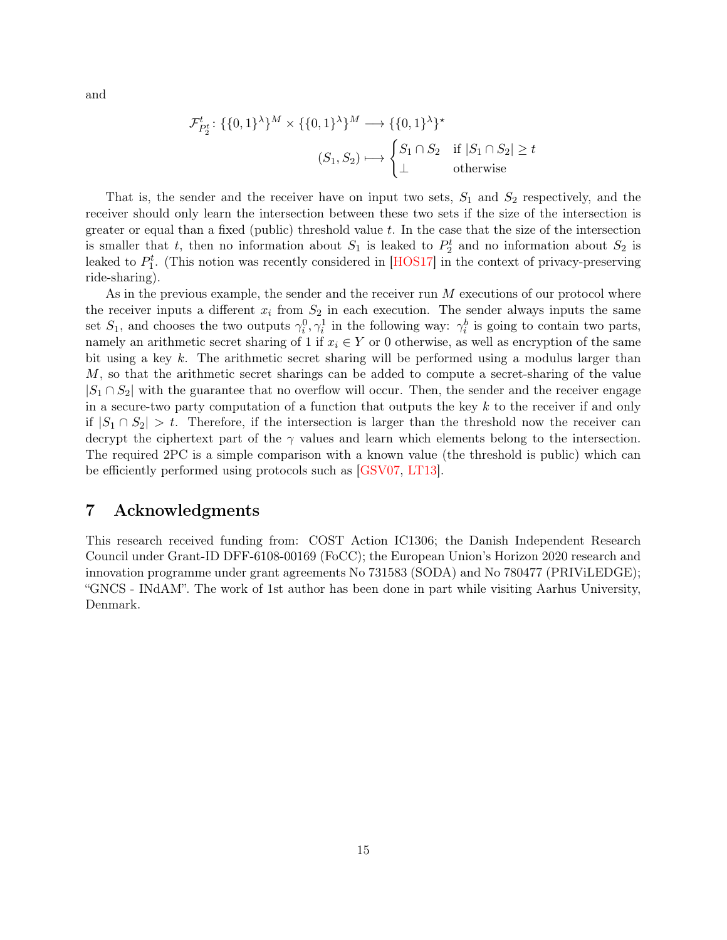and

$$
\mathcal{F}_{P_2^t}^t: \{\{0,1\}^\lambda\}^M \times \{\{0,1\}^\lambda\}^M \longrightarrow \{\{0,1\}^\lambda\}^\star
$$

$$
(S_1, S_2) \longmapsto \begin{cases} S_1 \cap S_2 & \text{if } |S_1 \cap S_2| \ge t \\ \bot & \text{otherwise} \end{cases}
$$

That is, the sender and the receiver have on input two sets,  $S_1$  and  $S_2$  respectively, and the receiver should only learn the intersection between these two sets if the size of the intersection is greater or equal than a fixed (public) threshold value  $t$ . In the case that the size of the intersection is smaller that t, then no information about  $S_1$  is leaked to  $P_2^t$  and no information about  $S_2$  is leaked to  $P_1^t$ . (This notion was recently considered in [HOS17] in the context of privacy-preserving ride-sharing).

As in the previous example, the sender and the receiver run M executions of our protocol where the receiver inputs a different  $x_i$  from  $S_2$  in each execution. The sender always inputs the same set  $S_1$ , and chooses the two outputs  $\gamma_i^0, \gamma_i^1$  in the following way:  $\gamma_i^b$  is going to contain two parts, namely an arithmetic secret sharing of 1 if  $x_i \in Y$  or 0 otherwise, as well as encryption of the same bit using a key k. The arithmetic secret sharing will be performed using a modulus larger than M, so that the arithmetic secret sharings can be added to compute a secret-sharing of the value  $|S_1 \cap S_2|$  with the guarantee that no overflow will occur. Then, the sender and the receiver engage in a secure-two party computation of a function that outputs the key  $k$  to the receiver if and only if  $|S_1 \cap S_2| > t$ . Therefore, if the intersection is larger than the threshold now the receiver can decrypt the ciphertext part of the  $\gamma$  values and learn which elements belong to the intersection. The required 2PC is a simple comparison with a known value (the threshold is public) which can be efficiently performed using protocols such as [GSV07, LT13].

## 7 Acknowledgments

This research received funding from: COST Action IC1306; the Danish Independent Research Council under Grant-ID DFF-6108-00169 (FoCC); the European Union's Horizon 2020 research and innovation programme under grant agreements No 731583 (SODA) and No 780477 (PRIViLEDGE); "GNCS - INdAM". The work of 1st author has been done in part while visiting Aarhus University, Denmark.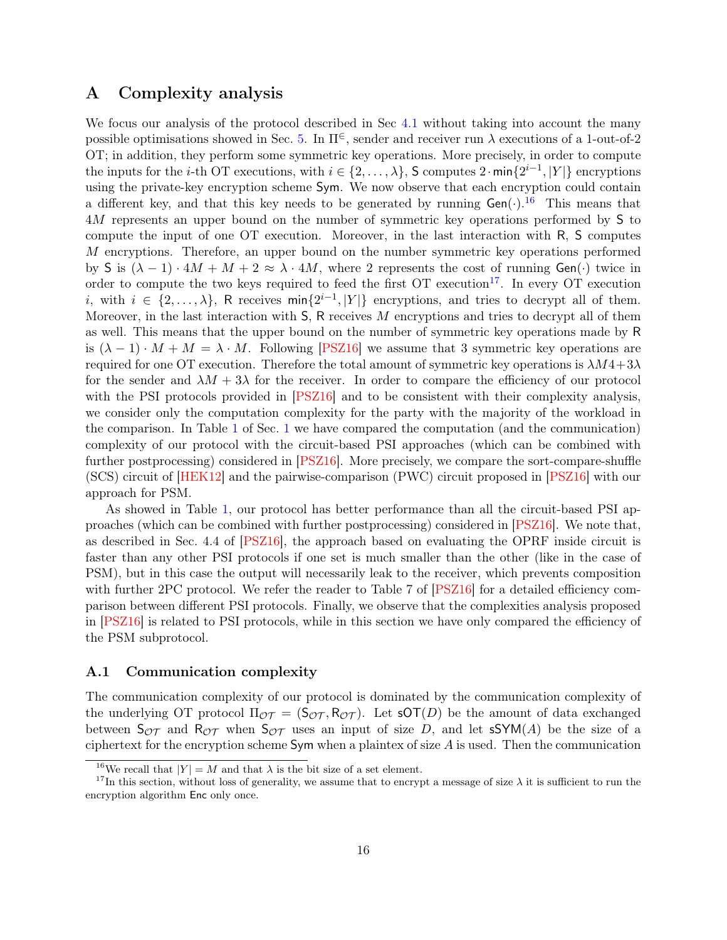## <span id="page-15-0"></span>A Complexity analysis

We focus our analysis of the protocol described in Sec [4.1](#page-9-1) without taking into account the many possible optimisations showed in Sec. [5.](#page-11-0) In  $\Pi^{\in}$ , sender and receiver run  $\lambda$  executions of a 1-out-of-2 OT; in addition, they perform some symmetric key operations. More precisely, in order to compute the inputs for the *i*-th OT executions, with  $i \in \{2, ..., \lambda\}$ , S computes  $2 \cdot \min\{2^{i-1}, |Y|\}$  encryptions using the private-key encryption scheme Sym. We now observe that each encryption could contain a different key, and that this key needs to be generated by running  $Gen(\cdot)$ .<sup>[16](#page-15-1)</sup> This means that 4M represents an upper bound on the number of symmetric key operations performed by S to compute the input of one OT execution. Moreover, in the last interaction with R, S computes M encryptions. Therefore, an upper bound on the number symmetric key operations performed by S is  $(\lambda - 1) \cdot 4M + M + 2 \approx \lambda \cdot 4M$ , where 2 represents the cost of running Gen(·) twice in order to compute the two keys required to feed the first  $\overline{OT}$  execution<sup>[17](#page-15-2)</sup>. In every  $\overline{OT}$  execution i, with  $i \in \{2,\ldots,\lambda\}$ , R receives  $\min\{2^{i-1},|Y|\}$  encryptions, and tries to decrypt all of them. Moreover, in the last interaction with  $S$ , R receives M encryptions and tries to decrypt all of them as well. This means that the upper bound on the number of symmetric key operations made by R is  $(\lambda - 1) \cdot M + M = \lambda \cdot M$ . Following [\[PSZ16\]](#page-28-2) we assume that 3 symmetric key operations are required for one OT execution. Therefore the total amount of symmetric key operations is  $\lambda M4+3\lambda$ for the sender and  $\lambda M + 3\lambda$  for the receiver. In order to compare the efficiency of our protocol with the PSI protocols provided in [\[PSZ16\]](#page-28-2) and to be consistent with their complexity analysis. we consider only the computation complexity for the party with the majority of the workload in the comparison. In Table [1](#page-3-0) of Sec. [1](#page-0-0) we have compared the computation (and the communication) complexity of our protocol with the circuit-based PSI approaches (which can be combined with further postprocessing) considered in [\[PSZ16\]](#page-28-2). More precisely, we compare the sort-compare-shuffle (SCS) circuit of [HEK12] and the pairwise-comparison (PWC) circuit proposed in [\[PSZ16\]](#page-28-2) with our approach for PSM.

As showed in Table [1,](#page-3-0) our protocol has better performance than all the circuit-based PSI approaches (which can be combined with further postprocessing) considered in [\[PSZ16\]](#page-28-2). We note that, as described in Sec. 4.4 of [\[PSZ16\]](#page-28-2), the approach based on evaluating the OPRF inside circuit is faster than any other PSI protocols if one set is much smaller than the other (like in the case of PSM), but in this case the output will necessarily leak to the receiver, which prevents composition with further 2PC protocol. We refer the reader to Table 7 of [\[PSZ16\]](#page-28-2) for a detailed efficiency comparison between different PSI protocols. Finally, we observe that the complexities analysis proposed in [\[PSZ16\]](#page-28-2) is related to PSI protocols, while in this section we have only compared the efficiency of the PSM subprotocol.

#### A.1 Communication complexity

The communication complexity of our protocol is dominated by the communication complexity of the underlying OT protocol  $\Pi_{\mathcal{OT}} = (\mathsf{S}_{\mathcal{OT}}, \mathsf{R}_{\mathcal{OT}})$ . Let  $\mathsf{sOT}(D)$  be the amount of data exchanged between  $S_{\mathcal{OT}}$  and  $R_{\mathcal{OT}}$  when  $S_{\mathcal{OT}}$  uses an input of size D, and let  $\mathsf{sSYM}(A)$  be the size of a ciphertext for the encryption scheme  $Sym$  when a plaintex of size  $A$  is used. Then the communication

<span id="page-15-1"></span><sup>&</sup>lt;sup>16</sup>We recall that  $|Y| = M$  and that  $\lambda$  is the bit size of a set element.

<span id="page-15-2"></span><sup>&</sup>lt;sup>17</sup>In this section, without loss of generality, we assume that to encrypt a message of size  $\lambda$  it is sufficient to run the encryption algorithm Enc only once.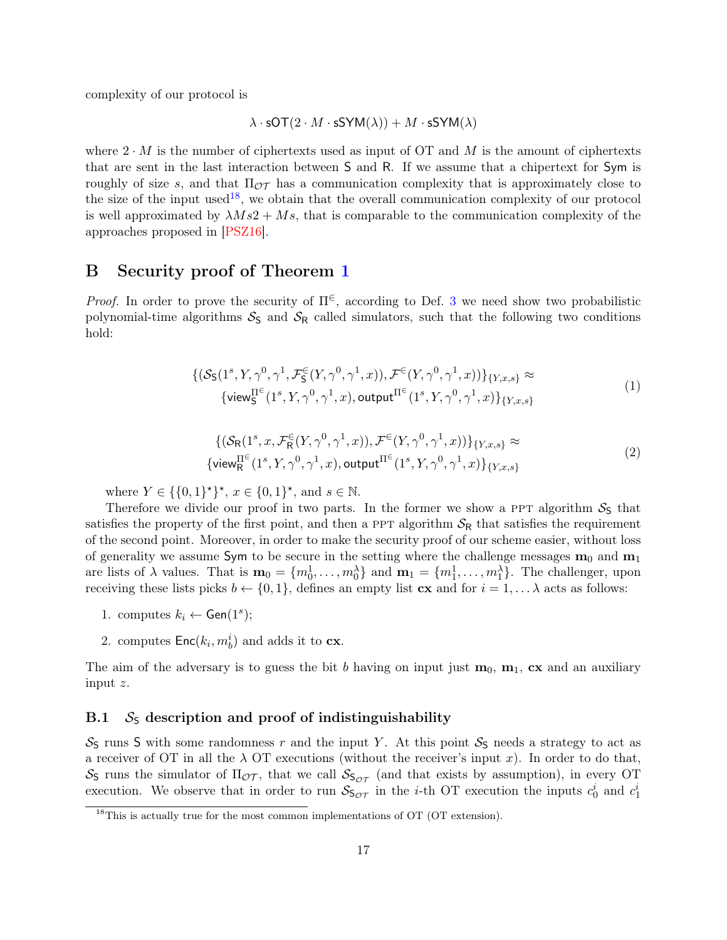complexity of our protocol is

$$
\lambda \cdot \mathsf{sOT}(2 \cdot M \cdot \mathsf{sSYM}(\lambda)) + M \cdot \mathsf{sSYM}(\lambda)
$$

where  $2 \cdot M$  is the number of ciphertexts used as input of OT and M is the amount of ciphertexts that are sent in the last interaction between S and R. If we assume that a chipertext for Sym is roughly of size s, and that  $\Pi_{\mathcal{OT}}$  has a communication complexity that is approximately close to the size of the input used<sup>[18](#page-16-1)</sup>, we obtain that the overall communication complexity of our protocol is well approximated by  $\lambda Ms2 + Ms$ , that is comparable to the communication complexity of the approaches proposed in [\[PSZ16\]](#page-28-2).

## <span id="page-16-0"></span>B Security proof of Theorem [1](#page-10-2)

*Proof.* In order to prove the security of  $\Pi^{\in}$ , according to Def. [3](#page-24-0) we need show two probabilistic polynomial-time algorithms  $S<sub>S</sub>$  and  $S<sub>R</sub>$  called simulators, such that the following two conditions hold:

$$
\{(\mathcal{S}_{\mathsf{S}}(1^s, Y, \gamma^0, \gamma^1, \mathcal{F}_{\mathsf{S}}^{\in}(Y, \gamma^0, \gamma^1, x)), \mathcal{F}^{\in}(Y, \gamma^0, \gamma^1, x))\}_{\{Y, x, s\}} \approx \text{(1)}
$$
\n
$$
\{\text{view}_{\mathsf{S}}^{\Pi^{\in}}(1^s, Y, \gamma^0, \gamma^1, x), \text{output}_{\Pi^{\in}(1^s, Y, \gamma^0, \gamma^1, x)\}_{\{Y, x, s\}}
$$

$$
\{(\mathcal{S}_{\mathsf{R}}(1^s, x, \mathcal{F}_{\mathsf{R}}^{\in}(Y, \gamma^0, \gamma^1, x)), \mathcal{F}^{\in}(Y, \gamma^0, \gamma^1, x))\}_{\{Y, x, s\}} \approx
$$
  
\{view <sup>$\Pi^{\in}$</sup>  <sub>$\mathsf{R}}(1^s, Y, \gamma^0, \gamma^1, x), output $\Pi^{\in}$  <sub>$\{1^s, Y, \gamma^0, \gamma^1, x)\}_{\{Y, x, s\}}$  (2)</sub>$</sub> 

where  $Y \in \{0,1\}^{\star}, x \in \{0,1\}^{\star}, \text{ and } s \in \mathbb{N}.$ 

Therefore we divide our proof in two parts. In the former we show a PPT algorithm  $S<sub>S</sub>$  that satisfies the property of the first point, and then a PPT algorithm  $S_R$  that satisfies the requirement of the second point. Moreover, in order to make the security proof of our scheme easier, without loss of generality we assume Sym to be secure in the setting where the challenge messages  $m_0$  and  $m_1$ are lists of  $\lambda$  values. That is  $\mathbf{m}_0 = \{m_0^1, \ldots, m_0^{\lambda}\}\$  and  $\mathbf{m}_1 = \{m_1^1, \ldots, m_1^{\lambda}\}\$ . The challenger, upon receiving these lists picks  $b \leftarrow \{0, 1\}$ , defines an empty list  $\mathbf{cx}$  and for  $i = 1, \dots \lambda$  acts as follows:

- 1. computes  $k_i \leftarrow \mathsf{Gen}(1^s);$
- 2. computes  $\mathsf{Enc}(k_i, m_b^i)$  and adds it to  $\mathbf{cx}$ .

The aim of the adversary is to guess the bit b having on input just  $m_0$ ,  $m_1$ ,  $cx$  and an auxiliary input z.

#### B.1  $S<sub>S</sub>$  description and proof of indistinguishability

 $S<sub>S</sub>$  runs S with some randomness r and the input Y. At this point  $S<sub>S</sub>$  needs a strategy to act as a receiver of OT in all the  $\lambda$  OT executions (without the receiver's input x). In order to do that,  $S<sub>S</sub>$  runs the simulator of  $\Pi_{\mathcal{OT}}$ , that we call  $S<sub>SOT</sub>$  (and that exists by assumption), in every OT execution. We observe that in order to run  $S_{\mathsf{S}_{\mathcal{OT}}}$  in the *i*-th OT execution the inputs  $c_0^i$  and  $c_1^i$ 

<span id="page-16-1"></span> $18$ This is actually true for the most common implementations of OT (OT extension).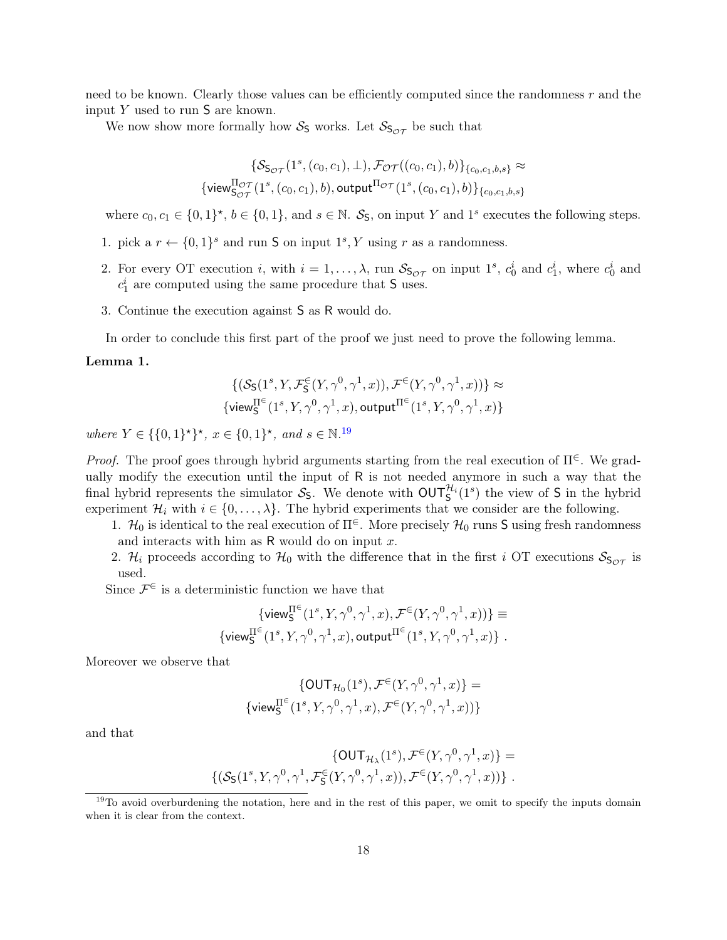need to be known. Clearly those values can be efficiently computed since the randomness r and the input  $Y$  used to run  $S$  are known.

We now show more formally how  $S<sub>S</sub>$  works. Let  $S<sub>SOT</sub>$  be such that

$$
\begin{aligned} \{ \mathcal{S}_{\mathsf{S}_{\mathcal{OT}}}(1^{s},(c_{0},c_{1}),\bot), \mathcal{F}_{\mathcal{OT}}((c_{0},c_{1}),b) \}_{\{c_{0},c_{1},b,s\}} \approx \\ \{\mathsf{view}_{\mathsf{S}_{\mathcal{OT}}}^{\Pi_{\mathcal{OT}}}(1^{s},(c_{0},c_{1}),b), \mathsf{output}^{\Pi_{\mathcal{OT}}}(1^{s},(c_{0},c_{1}),b) \}_{\{c_{0},c_{1},b,s\}} \end{aligned}
$$

where  $c_0, c_1 \in \{0, 1\}^{\star}, b \in \{0, 1\}$ , and  $s \in \mathbb{N}$ .  $\mathcal{S}_{\mathsf{S}}$ , on input Y and 1<sup>s</sup> executes the following steps.

- 1. pick a  $r \leftarrow \{0,1\}^s$  and run **S** on input  $1^s$ , Y using r as a randomness.
- 2. For every OT execution *i*, with  $i = 1, ..., \lambda$ , run  $S_{S_{OT}}$  on input 1<sup>s</sup>,  $c_0^i$  and  $c_1^i$ , where  $c_0^i$  and  $c_1^i$  are computed using the same procedure that S uses.
- 3. Continue the execution against S as R would do.

In order to conclude this first part of the proof we just need to prove the following lemma.

#### Lemma 1.

$$
\{(\mathcal{S}_\mathsf{S}(1^s,Y,\mathcal{F}_\mathsf{S}^\in(Y,\gamma^0,\gamma^1,x)),\mathcal{F}^\in(Y,\gamma^0,\gamma^1,x))\} \approx \{\mathsf{view}^{\Pi^\in}_\mathsf{S}(1^s,Y,\gamma^0,\gamma^1,x), \mathsf{output}^{\Pi^\in}(1^s,Y,\gamma^0,\gamma^1,x)\}
$$

where  $Y \in \{\{0,1\}^{\star}\}, x \in \{0,1\}^{\star}, \text{ and } s \in \mathbb{N}^{19}$  $Y \in \{\{0,1\}^{\star}\}, x \in \{0,1\}^{\star}, \text{ and } s \in \mathbb{N}^{19}$  $Y \in \{\{0,1\}^{\star}\}, x \in \{0,1\}^{\star}, \text{ and } s \in \mathbb{N}^{19}$ 

*Proof.* The proof goes through hybrid arguments starting from the real execution of  $\Pi^{\in}$ . We gradually modify the execution until the input of R is not needed anymore in such a way that the final hybrid represents the simulator  $S_5$ . We denote with  $\text{OUT}_{5}^{\mathcal{H}_i}(1^s)$  the view of S in the hybrid experiment  $\mathcal{H}_i$  with  $i \in \{0, \ldots, \lambda\}$ . The hybrid experiments that we consider are the following.

1.  $\mathcal{H}_0$  is identical to the real execution of  $\Pi^{\in}$ . More precisely  $\mathcal{H}_0$  runs S using fresh randomness and interacts with him as  $R$  would do on input  $x$ .

2.  $\mathcal{H}_i$  proceeds according to  $\mathcal{H}_0$  with the difference that in the first i OT executions  $\mathcal{S}_{S_{\mathcal{OT}}}$  is used.

Since  $\mathcal{F}^{\in}$  is a deterministic function we have that

$$
\begin{array}{c}\{\mathsf{view}^{\Pi^{\in}}_{\mathsf{S}}(1^{s},Y,\gamma^{0},\gamma^{1},x),\mathcal{F}^{\in}(Y,\gamma^{0},\gamma^{1},x))\}\equiv\\\{\mathsf{view}^{\Pi^{\in}}_{\mathsf{S}}(1^{s},Y,\gamma^{0},\gamma^{1},x),\mathsf{output}^{\Pi^{\in}}(1^{s},Y,\gamma^{0},\gamma^{1},x)\}\ .\end{array}
$$

Moreover we observe that

$$
\{\text{OUT}_{\mathcal{H}_0}(1^s), \mathcal{F}^{\in}(Y, \gamma^0, \gamma^1, x)\} =
$$
  

$$
\{\text{view}_{\mathsf{S}}^{\Pi^{\in}}(1^s, Y, \gamma^0, \gamma^1, x), \mathcal{F}^{\in}(Y, \gamma^0, \gamma^1, x))\}
$$

and that

$$
\left\{ \begin{aligned} &\left\{ \mathsf{OUT}_{\mathcal{H}_\lambda}(1^s), \mathcal{F}^{\in}(Y, \gamma^0, \gamma^1, x) \right\} = \\ &\left\{ \big(\mathcal{S}_{\mathsf{S}}(1^s, Y, \gamma^0, \gamma^1, \mathcal{F}^{\in}_{\mathsf{S}}(Y, \gamma^0, \gamma^1, x)), \mathcal{F}^{\in}(Y, \gamma^0, \gamma^1, x) \big) \right\} \, . \end{aligned} \right.
$$

<span id="page-17-0"></span><sup>&</sup>lt;sup>19</sup>To avoid overburdening the notation, here and in the rest of this paper, we omit to specify the inputs domain when it is clear from the context.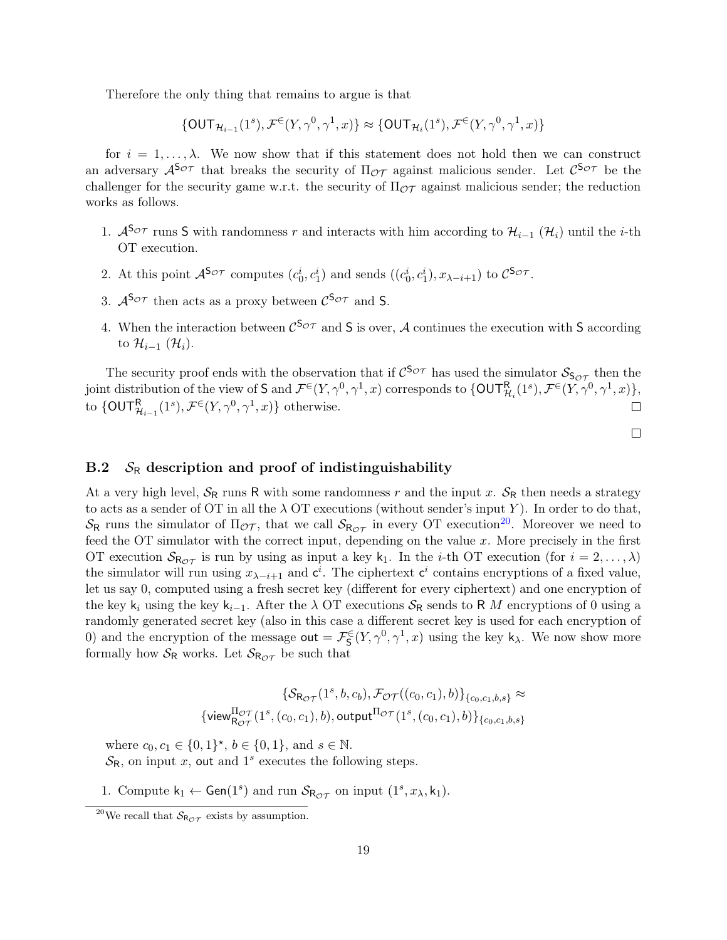Therefore the only thing that remains to argue is that

 $\{\mathsf{OUT}_{\mathcal{H}_{i-1}}(1^s),\mathcal{F}^\in(Y,\gamma^0,\gamma^1,x)\}\approx \{\mathsf{OUT}_{\mathcal{H}_i}(1^s),\mathcal{F}^\in(Y,\gamma^0,\gamma^1,x)\}$ 

for  $i = 1, \ldots, \lambda$ . We now show that if this statement does not hold then we can construct an adversary  $\mathcal{A}^{S_{\mathcal{OT}}}$  that breaks the security of  $\Pi_{\mathcal{OT}}$  against malicious sender. Let  $\mathcal{C}^{S_{\mathcal{OT}}}$  be the challenger for the security game w.r.t. the security of  $\Pi_{\mathcal{OT}}$  against malicious sender; the reduction works as follows.

- 1.  $\mathcal{A}^{S_{\mathcal{OT}}}$  runs S with randomness r and interacts with him according to  $\mathcal{H}_{i-1}(\mathcal{H}_i)$  until the *i*-th OT execution.
- 2. At this point  $\mathcal{A}^{\mathsf{S}\sigma\tau}$  computes  $(c_0^i, c_1^i)$  and sends  $((c_0^i, c_1^i), x_{\lambda-i+1})$  to  $\mathcal{C}^{\mathsf{S}\sigma\tau}$ .
- 3.  $A^{\mathsf{S}_{\mathcal{OT}}}$  then acts as a proxy between  $\mathcal{C}^{\mathsf{S}_{\mathcal{OT}}}$  and **S**.
- 4. When the interaction between  $\mathcal{C}^{S_{\mathcal{OT}}}$  and S is over, A continues the execution with S according to  $\mathcal{H}_{i-1}(\mathcal{H}_i)$ .

The security proof ends with the observation that if  $C^{5c}$  has used the simulator  $S_{5c}$  then the joint distribution of the view of  $S$  and  $\mathcal{F}^{\in}(Y,\gamma^{0},\gamma^{1},x)$  corresponds to  $\{\mathsf{OUT}^{\mathsf{R}}_{\mathcal{H}_{i}}(1^{s}),\mathcal{F}^{\in}(Y,\gamma^{0},\gamma^{1},x)\},$ to  $\{\text{OUTR}_{\mathcal{H}_{i-1}}(1^s), \mathcal{F}^{\in}(Y, \gamma^0, \gamma^1, x)\}\$ otherwise.  $\Box$ 

 $\Box$ 

#### B.2  $S_R$  description and proof of indistinguishability

At a very high level,  $S_R$  runs R with some randomness r and the input x.  $S_R$  then needs a strategy to acts as a sender of OT in all the  $\lambda$  OT executions (without sender's input Y). In order to do that,  $S_R$  runs the simulator of  $\Pi_{\mathcal{OT}}$ , that we call  $S_{R_{\mathcal{OT}}}$  in every OT execution<sup>[20](#page-18-0)</sup>. Moreover we need to feed the OT simulator with the correct input, depending on the value  $x$ . More precisely in the first OT execution  $S_{\mathsf{R}_{\mathcal{OT}}}$  is run by using as input a key  $k_1$ . In the *i*-th OT execution (for  $i = 2, ..., \lambda$ ) the simulator will run using  $x_{\lambda-i+1}$  and  $c^i$ . The ciphertext  $c^i$  contains encryptions of a fixed value, let us say 0, computed using a fresh secret key (different for every ciphertext) and one encryption of the key k<sub>i</sub> using the key k<sub>i−1</sub>. After the  $\lambda$  OT executions  $S_R$  sends to R M encryptions of 0 using a randomly generated secret key (also in this case a different secret key is used for each encryption of 0) and the encryption of the message  $\text{out} = \mathcal{F}_{\mathsf{S}}^{\in}(Y, \gamma^0, \gamma^1, x)$  using the key  $\mathsf{k}_{\lambda}$ . We now show more formally how  $S_R$  works. Let  $S_{R_{\mathcal{OT}}}$  be such that

$$
\{ \mathcal{S}_{\mathsf{R}_{\mathcal{OT}}}(1^s, b, c_b), \mathcal{F}_{\mathcal{OT}}((c_0, c_1), b) \}_{\{c_0, c_1, b, s\}} \approx
$$
  

$$
\{ \mathsf{view}_{\mathsf{R}_{\mathcal{OT}}}^{\Pi_{\mathcal{OT}}}(1^s, (c_0, c_1), b), \mathsf{output}^{\Pi_{\mathcal{OT}}}(1^s, (c_0, c_1), b) \}_{\{c_0, c_1, b, s\}}
$$

where  $c_0, c_1 \in \{0, 1\}^{\star}, b \in \{0, 1\}, \text{ and } s \in \mathbb{N}.$  $\mathcal{S}_{\mathsf{R}}$ , on input x, out and 1<sup>s</sup> executes the following steps.

1. Compute  $k_1 \leftarrow$  Gen(1<sup>s</sup>) and run  $\mathcal{S}_{\mathsf{R}_{\mathcal{OT}}}$  on input (1<sup>s</sup>,  $x_{\lambda}, k_1$ ).

<span id="page-18-0"></span><sup>&</sup>lt;sup>20</sup>We recall that  $S_{\mathsf{R}_{\mathcal{OT}}}$  exists by assumption.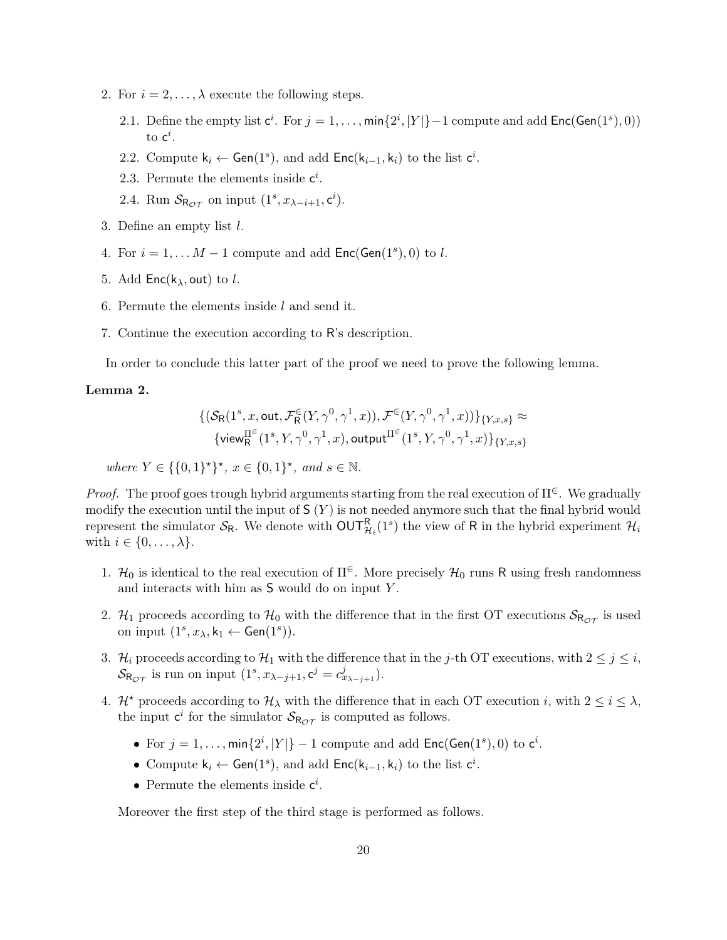- 2. For  $i = 2, \ldots, \lambda$  execute the following steps.
	- 2.1. Define the empty list  $c^i$ . For  $j = 1, ..., min\{2^i, |Y|\}$  1 compute and add  $Enc(Gen(1^s), 0)$ to  $\mathsf{c}^i$ .
	- 2.2. Compute  $k_i \leftarrow Gen(1^s)$ , and add  $Enc(k_{i-1}, k_i)$  to the list  $c^i$ .
	- 2.3. Permute the elements inside  $c^i$ .
	- 2.4. Run  $S_{\mathsf{R}_{\mathcal{OT}}}$  on input  $(1^s, x_{\lambda-i+1}, \mathsf{c}^i)$ .
- 3. Define an empty list l.
- 4. For  $i = 1, \ldots M 1$  compute and add  $\mathsf{Enc}(\mathsf{Gen}(1^s), 0)$  to l.
- 5. Add  $Enc(k_{\lambda}, out)$  to *l*.
- 6. Permute the elements inside l and send it.
- 7. Continue the execution according to R's description.

In order to conclude this latter part of the proof we need to prove the following lemma.

#### Lemma 2.

$$
\begin{aligned} &\{(\mathcal{S}_{\mathsf{R}}(1^s,x,\mathsf{out},\mathcal{F}^{\in}_{\mathsf{R}}(Y,\gamma^0,\gamma^1,x)),\mathcal{F}^{\in}(Y,\gamma^0,\gamma^1,x))\}_{\{Y,x,s\}}\approx \\ &\{\mathsf{view}^{\Pi^{\in}}_{\mathsf{R}}(1^s,Y,\gamma^0,\gamma^1,x),\mathsf{output}^{\Pi^{\in}}(1^s,Y,\gamma^0,\gamma^1,x)\}_{\{Y,x,s\}} \end{aligned}
$$

where  $Y \in \{\{0,1\}^{\star}\}, x \in \{0,1\}^{\star}, \text{ and } s \in \mathbb{N}.$ 

*Proof.* The proof goes trough hybrid arguments starting from the real execution of  $\Pi^{\in}$ . We gradually modify the execution until the input of  $S(Y)$  is not needed anymore such that the final hybrid would represent the simulator  $S_R$ . We denote with  $\text{OUT}_{\mathcal{H}_i}^R(1^s)$  the view of R in the hybrid experiment  $\mathcal{H}_i$ with  $i \in \{0, \ldots, \lambda\}$ .

- 1.  $\mathcal{H}_0$  is identical to the real execution of  $\Pi^{\in}$ . More precisely  $\mathcal{H}_0$  runs R using fresh randomness and interacts with him as S would do on input Y .
- 2. H<sub>1</sub> proceeds according to  $\mathcal{H}_0$  with the difference that in the first OT executions  $\mathcal{S}_{R_{\mathcal{OT}}}$  is used on input  $(1^s, x_\lambda, k_1 \leftarrow \text{Gen}(1^s)).$
- 3. H<sub>i</sub> proceeds according to H<sub>1</sub> with the difference that in the j-th OT executions, with  $2 \le j \le i$ ,  $\mathcal{S}_{\mathsf{R}_{\mathcal{O}\mathcal{T}}}$  is run on input  $(1^s, x_{\lambda-j+1}, \mathsf{c}^j = c^j_{x_{\lambda-j+1}}).$
- 4.  $\mathcal{H}^{\star}$  proceeds according to  $\mathcal{H}_{\lambda}$  with the difference that in each OT execution *i*, with  $2 \leq i \leq \lambda$ , the input  $c^i$  for the simulator  $S_{\mathsf{R}_{\mathcal{OT}}}$  is computed as follows.
	- For  $j = 1, ..., min\{2^i, |Y|\} 1$  compute and add  $Enc(Gen(1^s), 0)$  to  $c^i$ .
	- Compute  $k_i \leftarrow Gen(1^s)$ , and add  $Enc(k_{i-1}, k_i)$  to the list  $c^i$ .
	- Permute the elements inside  $c^i$ .

Moreover the first step of the third stage is performed as follows.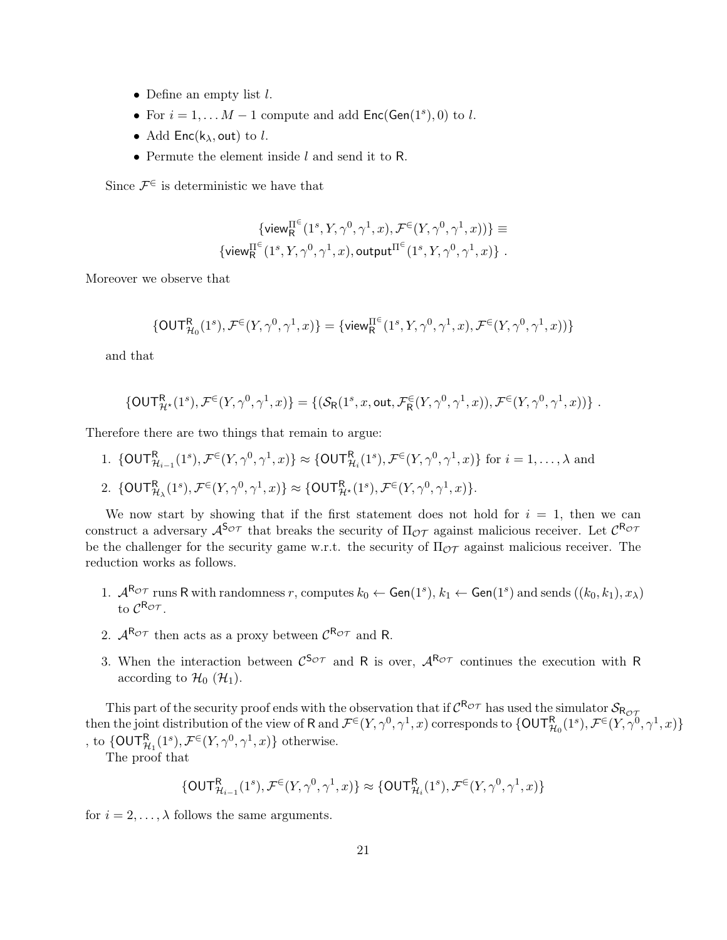- Define an empty list  $l$ .
- For  $i = 1, \ldots M 1$  compute and add  $Enc(Gen(1<sup>s</sup>), 0)$  to l.
- Add  $Enc(k_{\lambda}, out)$  to l.
- Permute the element inside l and send it to R.

Since  $\mathcal{F}^{\in}$  is deterministic we have that

$$
\begin{array}{c}\{\mathsf{view}^{\Pi^\in}(1^s,Y,\gamma^0,\gamma^1,x),\mathcal{F}^\in(Y,\gamma^0,\gamma^1,x))\}\equiv\\\{\mathsf{view}^{\Pi^\in}(1^s,Y,\gamma^0,\gamma^1,x),\mathsf{output}^{\Pi^\in}(1^s,Y,\gamma^0,\gamma^1,x)\}\ .\end{array}
$$

Moreover we observe that

$$
\{\text{OUT}^{\text{R}}_{\mathcal{H}_0}(1^s),\mathcal{F}^{\in}(Y,\gamma^0,\gamma^1,x)\}=\{\text{view}^{\Pi^{\in}}_{\text{R}}(1^s,Y,\gamma^0,\gamma^1,x),\mathcal{F}^{\in}(Y,\gamma^0,\gamma^1,x))\}
$$

and that

$$
\{\mathsf{OUT}_{\mathcal{H}^{\star}}^{\mathsf{R}}(1^{s}),\mathcal{F}^{\in}(Y,\gamma^{0},\gamma^{1},x)\}=\{(\mathcal{S}_{\mathsf{R}}(1^{s},x,\mathsf{out},\mathcal{F}_{\mathsf{R}}^{\in}(Y,\gamma^{0},\gamma^{1},x)),\mathcal{F}^{\in}(Y,\gamma^{0},\gamma^{1},x))\}.
$$

Therefore there are two things that remain to argue:

1.  $\{\text{OUT}_{\mathcal{H}_{i-1}}^{\mathsf{R}}(1^s), \mathcal{F}^{\in}(Y, \gamma^0, \gamma^1, x)\} \approx \{\text{OUT}_{\mathcal{H}_i}^{\mathsf{R}}(1^s), \mathcal{F}^{\in}(Y, \gamma^0, \gamma^1, x)\}$  for  $i = 1, \ldots, \lambda$  and 2.  $\{OUT_{\mathcal{H}_{\lambda}}^{R}(1^{s}), \mathcal{F}^{\in}(Y, \gamma^{0}, \gamma^{1}, x)\} \approx \{OUT_{\mathcal{H}^{*}}^{R}(1^{s}), \mathcal{F}^{\in}(Y, \gamma^{0}, \gamma^{1}, x)\}.$ 

We now start by showing that if the first statement does not hold for  $i = 1$ , then we can construct a adversary  $\mathcal{A}^{S_{\mathcal{OT}}}$  that breaks the security of  $\Pi_{\mathcal{OT}}$  against malicious receiver. Let  $\mathcal{C}^{R_{\mathcal{OT}}}$ be the challenger for the security game w.r.t. the security of  $\Pi_{\mathcal{OT}}$  against malicious receiver. The reduction works as follows.

- 1.  $\mathcal{A}^{\mathsf{R}_{\mathcal{OT}}}$  runs R with randomness r, computes  $k_0 \leftarrow \mathsf{Gen}(1^s), k_1 \leftarrow \mathsf{Gen}(1^s)$  and sends  $((k_0, k_1), x_\lambda)$ to  $\mathcal{C}^{\mathsf{R}_{\mathcal{OT}}}$ .
- 2.  $A^{R_{\mathcal{OT}}}$  then acts as a proxy between  $C^{R_{\mathcal{OT}}}$  and R.
- 3. When the interaction between  $\mathcal{C}^{S_{\mathcal{OT}}}$  and R is over,  $\mathcal{A}^{R_{\mathcal{OT}}}$  continues the execution with R according to  $\mathcal{H}_0$  ( $\mathcal{H}_1$ ).

This part of the security proof ends with the observation that if  $C^{R_{\mathcal{OT}}}$  has used the simulator  $\mathcal{S}_{R_{\mathcal{OT}}}$ then the joint distribution of the view of R and  $\mathcal{F}^{\in}(Y,\gamma^{0},\gamma^{1},x)$  corresponds to  $\{{\sf OUT}^{\sf R}_{{\cal H}_0}(1^{s}),\mathcal{F}^{\in}(Y,\gamma^{0},\gamma^{1},x)\}$ , to  $\{\ensuremath{\mathsf{OUT}}_{\ensuremath{\mathcal{H}}_1}^\mathsf{R}(1^s),\ensuremath{\mathcal{F}}^\in(Y,\gamma^0,\gamma^1,x)\}$  otherwise.

The proof that

$$
\{\mathsf{OUT}^\mathsf{R}_{\mathcal{H}_{i-1}}(1^s),\mathcal{F}^\in(Y,\gamma^0,\gamma^1,x)\}\approx \{\mathsf{OUT}^\mathsf{R}_{\mathcal{H}_i}(1^s),\mathcal{F}^\in(Y,\gamma^0,\gamma^1,x)\}
$$

for  $i = 2, \ldots, \lambda$  follows the same arguments.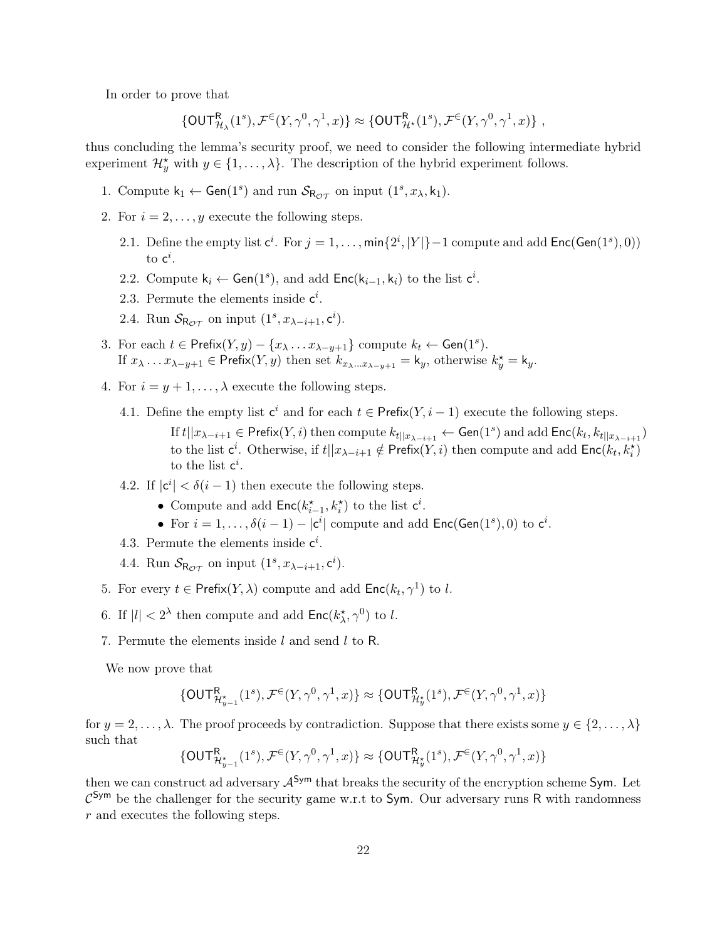In order to prove that

$$
\{\mathsf{OUT}^\mathsf{R}_{\mathcal{H}_\lambda}(1^s),\mathcal{F}^\in(Y,\gamma^0,\gamma^1,x)\}\approx \{\mathsf{OUT}^\mathsf{R}_{\mathcal{H}^\star}(1^s),\mathcal{F}^\in(Y,\gamma^0,\gamma^1,x)\}\;,
$$

thus concluding the lemma's security proof, we need to consider the following intermediate hybrid experiment  $\mathcal{H}_y^*$  with  $y \in \{1, ..., \lambda\}$ . The description of the hybrid experiment follows.

- 1. Compute  $k_1 \leftarrow$  Gen(1<sup>s</sup>) and run  $\mathcal{S}_{\mathsf{R}_{\mathcal{OT}}}$  on input (1<sup>s</sup>,  $x_{\lambda}, k_1$ ).
- 2. For  $i = 2, \ldots, y$  execute the following steps.
	- 2.1. Define the empty list  $c^i$ . For  $j = 1, ..., min\{2^i, |Y|\}$  1 compute and add  $Enc(Gen(1^s), 0)$ to  $\mathsf{c}^i$ .
	- 2.2. Compute  $k_i \leftarrow Gen(1^s)$ , and add  $Enc(k_{i-1}, k_i)$  to the list  $c^i$ .
	- 2.3. Permute the elements inside  $c^i$ .
	- 2.4. Run  $S_{\mathsf{R}_{\mathcal{OT}}}$  on input  $(1^s, x_{\lambda-i+1}, \mathsf{c}^i)$ .
- 3. For each  $t \in \text{Prefix}(Y, y) \{x_{\lambda} \dots x_{\lambda-y+1}\}$  compute  $k_t \leftarrow \text{Gen}(1^s)$ . If  $x_{\lambda} \dots x_{\lambda-y+1} \in \text{Prefix}(Y, y)$  then set  $k_{x_{\lambda} \dots x_{\lambda-y+1}} = \mathsf{k}_y$ , otherwise  $k_y^* = \mathsf{k}_y$ .
- 4. For  $i = y + 1, ..., \lambda$  execute the following steps.
	- 4.1. Define the empty list  $c^i$  and for each  $t \in \text{Prefix}(Y, i-1)$  execute the following steps. If  $t||x_{\lambda-i+1}\in \mathsf{Prefix}(Y,i)$  then compute  $k_{t||x_{\lambda-i+1}}\leftarrow \mathsf{Gen}(1^s)$  and add  $\mathsf{Enc}(k_t,k_{t||x_{\lambda-i+1}})$ to the list  $\mathsf{c}^i$ . Otherwise, if  $t||x_{\lambda-i+1} \notin \mathsf{Prefix}(Y,i)$  then compute and add  $\mathsf{Enc}(k_t, k_i^{\star})$ to the list  $c^i$ .
	- 4.2. If  $|c^i| < \delta(i-1)$  then execute the following steps.
		- Compute and add  $\mathsf{Enc}(k_{i-1}^{\star}, k_i^{\star})$  to the list  $c^i$ .
		- For  $i = 1, ..., \delta(i-1) |\mathbf{c}^i|$  compute and add  $\mathsf{Enc}(\mathsf{Gen}(1^s), 0)$  to  $\mathbf{c}^i$ .
	- 4.3. Permute the elements inside  $c^i$ .
	- 4.4. Run  $S_{\mathsf{R}_{\mathcal{OT}}}$  on input  $(1^s, x_{\lambda-i+1}, \mathsf{c}^i)$ .
- 5. For every  $t \in \text{Prefix}(Y, \lambda)$  compute and add  $\text{Enc}(k_t, \gamma^1)$  to l.
- 6. If  $|l| < 2^{\lambda}$  then compute and add  $\mathsf{Enc}(k_{\lambda}^*, \gamma^0)$  to l.
- 7. Permute the elements inside  $l$  and send  $l$  to R.

We now prove that

$$
\{\mathsf{OUT}^\mathsf{R}_{\mathcal{H}_{y-1}}(1^s),\mathcal{F}^\in(Y,\gamma^0,\gamma^1,x)\}\approx \{\mathsf{OUT}^\mathsf{R}_{\mathcal{H}_{y}}(1^s),\mathcal{F}^\in(Y,\gamma^0,\gamma^1,x)\}
$$

for  $y = 2, \ldots, \lambda$ . The proof proceeds by contradiction. Suppose that there exists some  $y \in \{2, \ldots, \lambda\}$ such that

$$
\{\mathsf{OUT}^\mathsf{R}_{\mathcal{H}_{y-1}}(1^s),\mathcal{F}^\in(Y,\gamma^0,\gamma^1,x)\}\approx \{\mathsf{OUT}^\mathsf{R}_{\mathcal{H}_{y}^\star}(1^s),\mathcal{F}^\in(Y,\gamma^0,\gamma^1,x)\}
$$

then we can construct ad adversary  $A^{Sym}$  that breaks the security of the encryption scheme Sym. Let  $\mathcal{C}^{\mathsf{Sym}}$  be the challenger for the security game w.r.t to Sym. Our adversary runs R with randomness r and executes the following steps.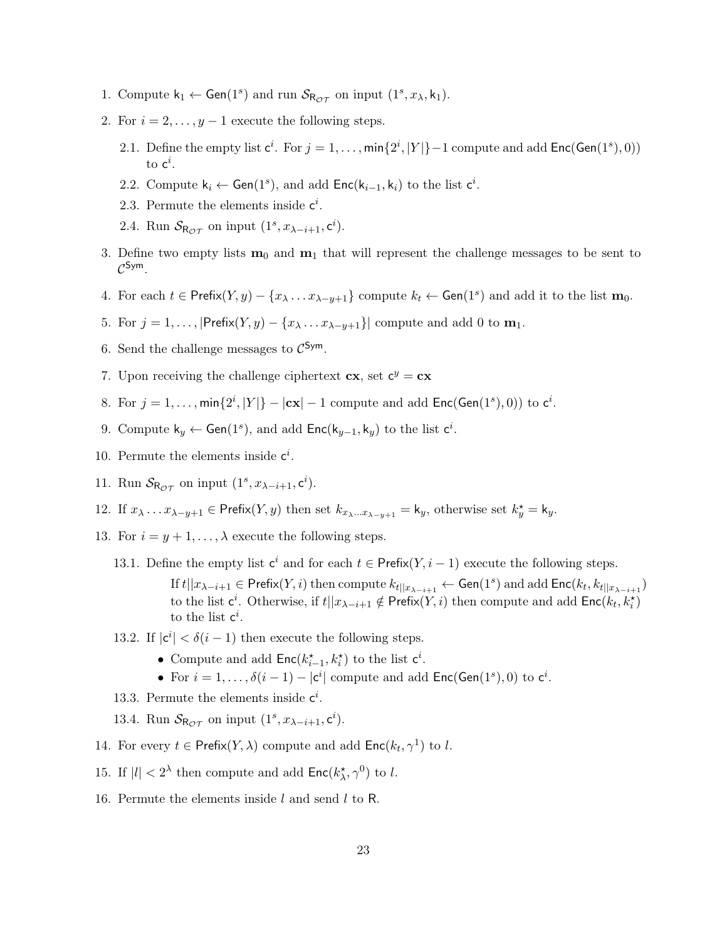- 1. Compute  $k_1 \leftarrow$  Gen(1<sup>s</sup>) and run  $\mathcal{S}_{\mathsf{R}_{\mathcal{OT}}}$  on input (1<sup>s</sup>,  $x_{\lambda}, k_1$ ).
- 2. For  $i = 2, \ldots, y 1$  execute the following steps.
	- 2.1. Define the empty list  $c^i$ . For  $j = 1, ..., min\{2^i, |Y|\}$  1 compute and add  $Enc(Gen(1^s), 0)$ to  $\mathsf{c}^i$ .
	- 2.2. Compute  $k_i \leftarrow Gen(1^s)$ , and add  $Enc(k_{i-1}, k_i)$  to the list  $c^i$ .
	- 2.3. Permute the elements inside  $c^i$ .
	- 2.4. Run  $S_{\mathsf{R}_{\mathcal{OT}}}$  on input  $(1^s, x_{\lambda-i+1}, \mathsf{c}^i)$ .
- 3. Define two empty lists  $m_0$  and  $m_1$  that will represent the challenge messages to be sent to  $\mathcal{C}^{\mathsf{Sym}}$  .
- 4. For each  $t \in \text{Prefix}(Y, y) \{x_{\lambda} \dots x_{\lambda-y+1}\}$  compute  $k_t \leftarrow \text{Gen}(1^s)$  and add it to the list  $\mathbf{m}_0$ .
- 5. For  $j = 1, \ldots, |\mathsf{Prefix}(Y, y) \{x_{\lambda} \ldots x_{\lambda-y+1}\}|$  compute and add 0 to  $\mathbf{m}_1$ .
- 6. Send the challenge messages to  $\mathcal{C}^{\mathsf{Sym}}$ .
- 7. Upon receiving the challenge ciphertext  $cx$ , set  $c^y = cx$
- 8. For  $j = 1, ..., min\{2^i, |Y|\} |\mathbf{cx}| 1$  compute and add  $Enc(Gen(1^s), 0))$  to  $c^i$ .
- 9. Compute  $k_y \leftarrow$  Gen(1<sup>s</sup>), and add Enc( $k_{y-1}, k_y$ ) to the list  $c^i$ .
- 10. Permute the elements inside  $c^i$ .
- 11. Run  $S_{\mathsf{R}_{\mathcal{OT}}}$  on input  $(1^s, x_{\lambda-i+1}, \mathsf{c}^i)$ .
- 12. If  $x_{\lambda} \dots x_{\lambda-y+1} \in \text{Prefix}(Y, y)$  then set  $k_{x_{\lambda} \dots x_{\lambda-y+1}} = \mathsf{k}_y$ , otherwise set  $k_y^* = \mathsf{k}_y$ .
- 13. For  $i = y + 1, \ldots, \lambda$  execute the following steps.
	- 13.1. Define the empty list  $c^i$  and for each  $t \in \text{Prefix}(Y, i-1)$  execute the following steps.
		- If  $t||x_{\lambda-i+1}\in \mathsf{Prefix}(Y,i)$  then compute  $k_{t||x_{\lambda-i+1}}\leftarrow \mathsf{Gen}(1^s)$  and add  $\mathsf{Enc}(k_t,k_{t||x_{\lambda-i+1}})$ to the list  $\mathsf{c}^i$ . Otherwise, if  $t||x_{\lambda-i+1} \notin \mathsf{Prefix}(Y,i)$  then compute and add  $\mathsf{Enc}(k_t, k_i^{\star})$ to the list  $c^i$ .
	- 13.2. If  $|c^i| < \delta(i-1)$  then execute the following steps.
		- Compute and add  $\mathsf{Enc}(k_{i-1}^{\star}, k_i^{\star})$  to the list  $c^i$ .
		- For  $i = 1, ..., \delta(i-1) |\mathbf{c}^i|$  compute and add  $\mathsf{Enc}(\mathsf{Gen}(1^s), 0)$  to  $\mathbf{c}^i$ .
	- 13.3. Permute the elements inside  $c^i$ .
	- 13.4. Run  $S_{\mathsf{R}_{\mathcal{OT}}}$  on input  $(1^s, x_{\lambda-i+1}, \mathsf{c}^i)$ .
- 14. For every  $t \in \text{Prefix}(Y, \lambda)$  compute and add  $\text{Enc}(k_t, \gamma^1)$  to l.
- 15. If  $|l| < 2^{\lambda}$  then compute and add  $\mathsf{Enc}(k_{\lambda}^*, \gamma^0)$  to l.
- 16. Permute the elements inside l and send l to R.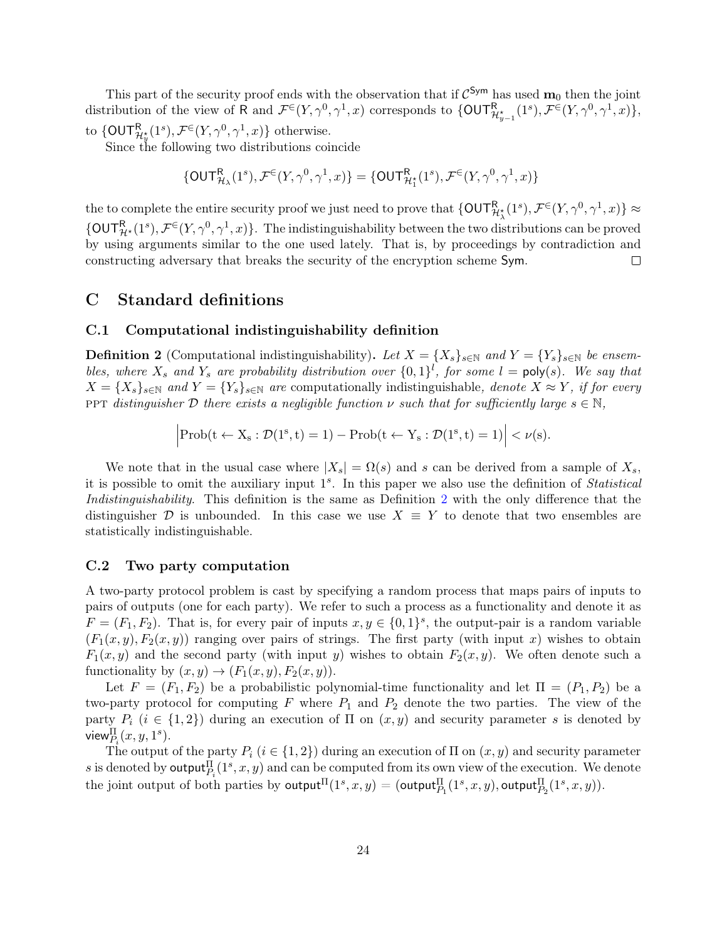This part of the security proof ends with the observation that if  $\mathcal{C}^{Sym}$  has used  $\mathbf{m}_0$  then the joint distribution of the view of R and  $\mathcal{F}^{\in}(Y,\gamma^{0},\gamma^{1},x)$  corresponds to  $\{\text{OUTR}_{\mathcal{H}_{y-1}^{*}}^{R}(1^{s}),\mathcal{F}^{\in}(Y,\gamma^{0},\gamma^{1},x)\},$ to  $\{\mathsf{OUT}_{\mathcal{H}_y^*}^{\mathsf{R}}(1^s), \mathcal{F}^{\in}(Y, \gamma^0, \gamma^1, x)\}$  otherwise.

Since the following two distributions coincide

$$
\{\mathsf{OUT}^\mathsf{R}_{\mathcal{H}_\lambda}(1^s),\mathcal{F}^\in(Y,\gamma^0,\gamma^1,x)\}=\{\mathsf{OUT}^\mathsf{R}_{\mathcal{H}_1^\star}(1^s),\mathcal{F}^\in(Y,\gamma^0,\gamma^1,x)\}
$$

the to complete the entire security proof we just need to prove that  $\{\text{OUT}^{\text{R}}_{\mathcal{H}^\star_{\lambda}}(1^s), \mathcal{F}^{\in}(Y, \gamma^0, \gamma^1, x)\} \approx$  $\{OUT_{\mathcal{H}^{\star}}^{R}(1^{s}), \mathcal{F}^{\in}(Y, \gamma^{0}, \gamma^{1}, x)\}.$  The indistinguishability between the two distributions can be proved by using arguments similar to the one used lately. That is, by proceedings by contradiction and constructing adversary that breaks the security of the encryption scheme Sym.  $\Box$ 

## <span id="page-23-0"></span>C Standard definitions

#### C.1 Computational indistinguishability definition

<span id="page-23-1"></span>**Definition 2** (Computational indistinguishability). Let  $X = \{X_s\}_{s\in\mathbb{N}}$  and  $Y = \{Y_s\}_{s\in\mathbb{N}}$  be ensembles, where  $X_s$  and  $Y_s$  are probability distribution over  $\{0,1\}^l$ , for some  $l = \text{poly}(s)$ . We say that  $X = \{X_s\}_{s \in \mathbb{N}}$  and  $Y = \{Y_s\}_{s \in \mathbb{N}}$  are computationally indistinguishable, denote  $X \approx Y$ , if for every ppt distinguisher D there exists a negligible function  $\nu$  such that for sufficiently large  $s \in \mathbb{N}$ ,

$$
\left|\text{Prob}(t \leftarrow X_s : \mathcal{D}(1^s, t) = 1) - \text{Prob}(t \leftarrow Y_s : \mathcal{D}(1^s, t) = 1)\right| < \nu(s).
$$

We note that in the usual case where  $|X_s| = \Omega(s)$  and s can be derived from a sample of  $X_s$ , it is possible to omit the auxiliary input 1<sup>s</sup>. In this paper we also use the definition of Statistical Indistinguishability. This definition is the same as Definition [2](#page-23-1) with the only difference that the distinguisher D is unbounded. In this case we use  $X \equiv Y$  to denote that two ensembles are statistically indistinguishable.

#### C.2 Two party computation

A two-party protocol problem is cast by specifying a random process that maps pairs of inputs to pairs of outputs (one for each party). We refer to such a process as a functionality and denote it as  $F = (F_1, F_2)$ . That is, for every pair of inputs  $x, y \in \{0, 1\}^s$ , the output-pair is a random variable  $(F_1(x, y), F_2(x, y))$  ranging over pairs of strings. The first party (with input x) wishes to obtain  $F_1(x, y)$  and the second party (with input y) wishes to obtain  $F_2(x, y)$ . We often denote such a functionality by  $(x, y) \rightarrow (F_1(x, y), F_2(x, y))$ .

Let  $F = (F_1, F_2)$  be a probabilistic polynomial-time functionality and let  $\Pi = (P_1, P_2)$  be a two-party protocol for computing  $F$  where  $P_1$  and  $P_2$  denote the two parties. The view of the party  $P_i$  ( $i \in \{1,2\}$ ) during an execution of  $\Pi$  on  $(x, y)$  and security parameter s is denoted by view $_{P_i}^{\Pi}(x,y,1^s)$ .

The output of the party  $P_i$   $(i \in \{1,2\})$  during an execution of  $\Pi$  on  $(x, y)$  and security parameter s is denoted by **output**  $P_i(1^s, x, y)$  and can be computed from its own view of the execution. We denote the joint output of both parties by  $\mathsf{output}^\Pi_{}(1^s,x,y) = (\mathsf{output}^\Pi_{P_1} (1^s,x,y), \mathsf{output}^\Pi_{P_2} (1^s,x,y)).$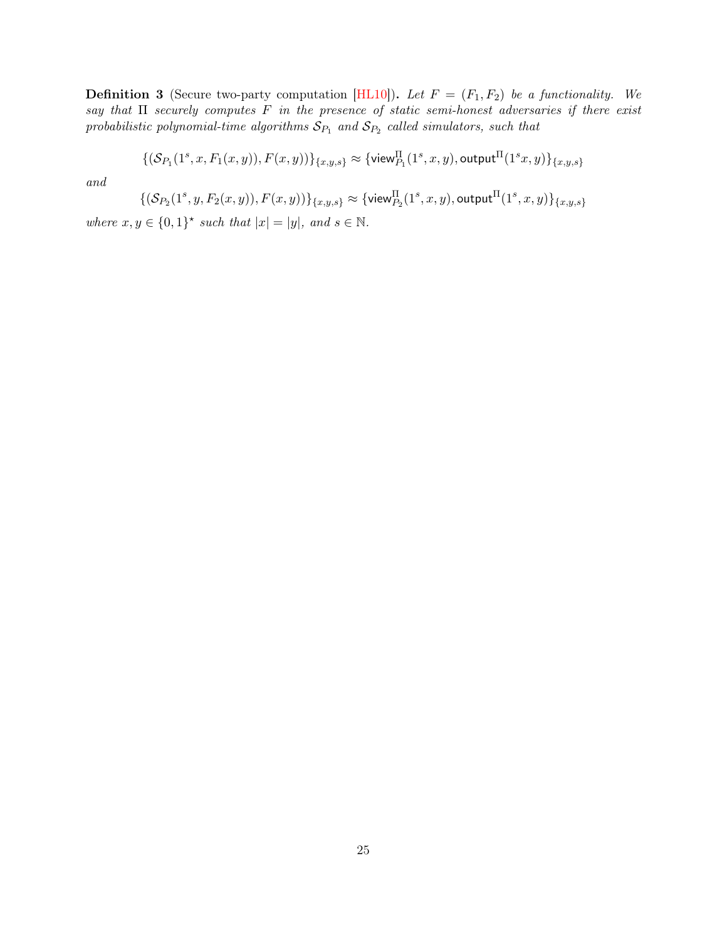<span id="page-24-0"></span>**Definition 3** (Secure two-party computation [\[HL10\]](#page-26-2)). Let  $F = (F_1, F_2)$  be a functionality. We say that  $\Pi$  securely computes  $F$  in the presence of static semi-honest adversaries if there exist probabilistic polynomial-time algorithms  $\mathcal{S}_{P_1}$  and  $\mathcal{S}_{P_2}$  called simulators, such that

$$
\{(\mathcal{S}_{P_1}(1^s,x,F_1(x,y)),F(x,y))\}_{\{x,y,s\}}\approx\{\text{view}^{\Pi}_{P_1}(1^s,x,y),\text{output}^{\Pi}(1^sx,y)\}_{\{x,y,s\}}
$$

and

$$
\{(\mathcal{S}_{P_2}(1^s,y,F_2(x,y)),F(x,y))\}_{\{x,y,s\}}\approx\{\mathsf{view}_{P_2}^\Pi(1^s,x,y),\mathsf{output}^\Pi(1^s,x,y)\}_{\{x,y,s\}}
$$

where  $x, y \in \{0,1\}^*$  such that  $|x| = |y|$ , and  $s \in \mathbb{N}$ .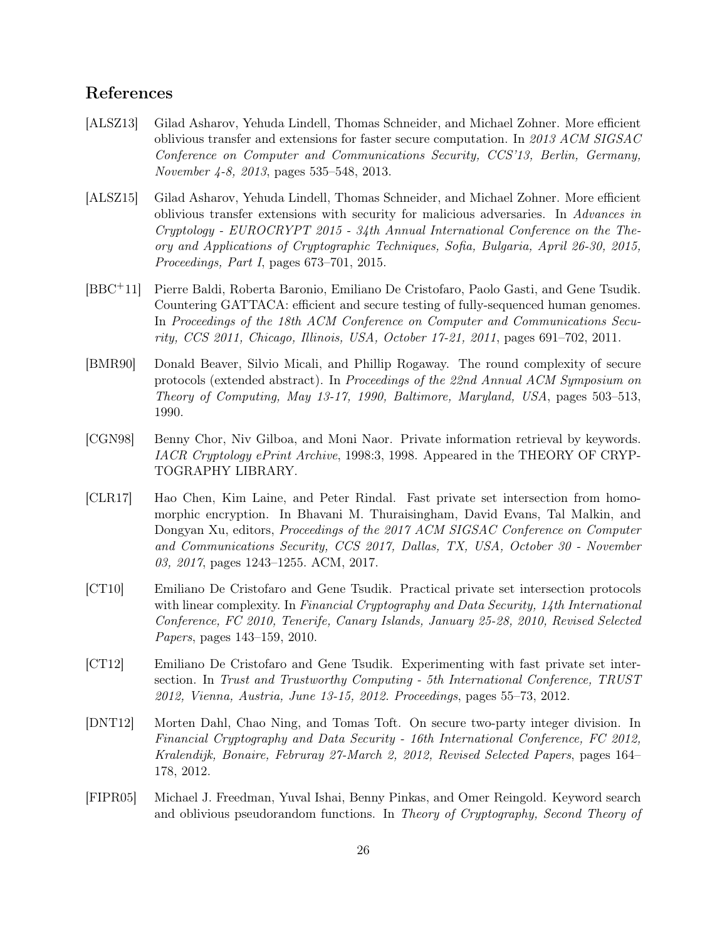## References

- [ALSZ13] Gilad Asharov, Yehuda Lindell, Thomas Schneider, and Michael Zohner. More efficient oblivious transfer and extensions for faster secure computation. In 2013 ACM SIGSAC Conference on Computer and Communications Security, CCS'13, Berlin, Germany, November 4-8, 2013, pages 535–548, 2013.
- [ALSZ15] Gilad Asharov, Yehuda Lindell, Thomas Schneider, and Michael Zohner. More efficient oblivious transfer extensions with security for malicious adversaries. In Advances in Cryptology - EUROCRYPT 2015 - 34th Annual International Conference on the Theory and Applications of Cryptographic Techniques, Sofia, Bulgaria, April 26-30, 2015, Proceedings, Part I, pages 673–701, 2015.
- [BBC+11] Pierre Baldi, Roberta Baronio, Emiliano De Cristofaro, Paolo Gasti, and Gene Tsudik. Countering GATTACA: efficient and secure testing of fully-sequenced human genomes. In Proceedings of the 18th ACM Conference on Computer and Communications Security, CCS 2011, Chicago, Illinois, USA, October 17-21, 2011, pages 691–702, 2011.
- <span id="page-25-1"></span>[BMR90] Donald Beaver, Silvio Micali, and Phillip Rogaway. The round complexity of secure protocols (extended abstract). In Proceedings of the 22nd Annual ACM Symposium on Theory of Computing, May 13-17, 1990, Baltimore, Maryland, USA, pages 503–513, 1990.
- [CGN98] Benny Chor, Niv Gilboa, and Moni Naor. Private information retrieval by keywords. IACR Cryptology ePrint Archive, 1998:3, 1998. Appeared in the THEORY OF CRYP-TOGRAPHY LIBRARY.
- <span id="page-25-0"></span>[CLR17] Hao Chen, Kim Laine, and Peter Rindal. Fast private set intersection from homomorphic encryption. In Bhavani M. Thuraisingham, David Evans, Tal Malkin, and Dongyan Xu, editors, Proceedings of the 2017 ACM SIGSAC Conference on Computer and Communications Security, CCS 2017, Dallas, TX, USA, October 30 - November 03, 2017, pages 1243–1255. ACM, 2017.
- [CT10] Emiliano De Cristofaro and Gene Tsudik. Practical private set intersection protocols with linear complexity. In Financial Cryptography and Data Security, 14th International Conference, FC 2010, Tenerife, Canary Islands, January 25-28, 2010, Revised Selected Papers, pages 143–159, 2010.
- [CT12] Emiliano De Cristofaro and Gene Tsudik. Experimenting with fast private set intersection. In Trust and Trustworthy Computing - 5th International Conference, TRUST 2012, Vienna, Austria, June 13-15, 2012. Proceedings, pages 55–73, 2012.
- [DNT12] Morten Dahl, Chao Ning, and Tomas Toft. On secure two-party integer division. In Financial Cryptography and Data Security - 16th International Conference, FC 2012, Kralendijk, Bonaire, Februray 27-March 2, 2012, Revised Selected Papers, pages 164– 178, 2012.
- [FIPR05] Michael J. Freedman, Yuval Ishai, Benny Pinkas, and Omer Reingold. Keyword search and oblivious pseudorandom functions. In Theory of Cryptography, Second Theory of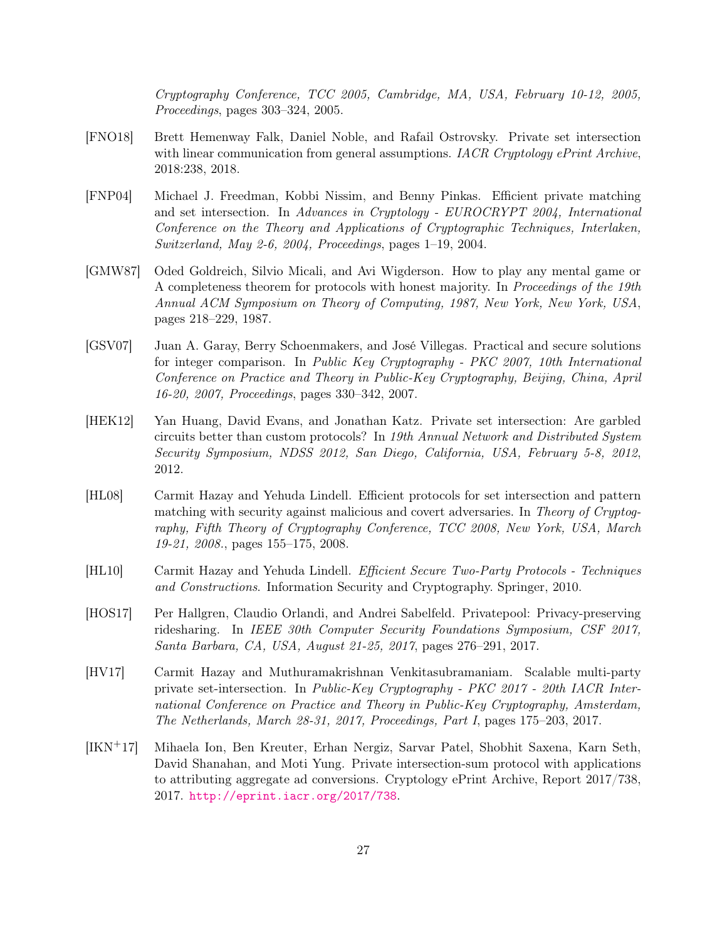Cryptography Conference, TCC 2005, Cambridge, MA, USA, February 10-12, 2005, Proceedings, pages 303–324, 2005.

- <span id="page-26-1"></span>[FNO18] Brett Hemenway Falk, Daniel Noble, and Rafail Ostrovsky. Private set intersection with linear communication from general assumptions. IACR Cryptology ePrint Archive, 2018:238, 2018.
- [FNP04] Michael J. Freedman, Kobbi Nissim, and Benny Pinkas. Efficient private matching and set intersection. In Advances in Cryptology - EUROCRYPT 2004, International Conference on the Theory and Applications of Cryptographic Techniques, Interlaken, Switzerland, May 2-6, 2004, Proceedings, pages 1–19, 2004.
- [GMW87] Oded Goldreich, Silvio Micali, and Avi Wigderson. How to play any mental game or A completeness theorem for protocols with honest majority. In Proceedings of the 19th Annual ACM Symposium on Theory of Computing, 1987, New York, New York, USA, pages 218–229, 1987.
- [GSV07] Juan A. Garay, Berry Schoenmakers, and José Villegas. Practical and secure solutions for integer comparison. In Public Key Cryptography - PKC 2007, 10th International Conference on Practice and Theory in Public-Key Cryptography, Beijing, China, April 16-20, 2007, Proceedings, pages 330–342, 2007.
- [HEK12] Yan Huang, David Evans, and Jonathan Katz. Private set intersection: Are garbled circuits better than custom protocols? In 19th Annual Network and Distributed System Security Symposium, NDSS 2012, San Diego, California, USA, February 5-8, 2012, 2012.
- [HL08] Carmit Hazay and Yehuda Lindell. Efficient protocols for set intersection and pattern matching with security against malicious and covert adversaries. In Theory of Cryptography, Fifth Theory of Cryptography Conference, TCC 2008, New York, USA, March 19-21, 2008., pages 155–175, 2008.
- <span id="page-26-2"></span>[HL10] Carmit Hazay and Yehuda Lindell. Efficient Secure Two-Party Protocols - Techniques and Constructions. Information Security and Cryptography. Springer, 2010.
- [HOS17] Per Hallgren, Claudio Orlandi, and Andrei Sabelfeld. Privatepool: Privacy-preserving ridesharing. In IEEE 30th Computer Security Foundations Symposium, CSF 2017, Santa Barbara, CA, USA, August 21-25, 2017, pages 276–291, 2017.
- [HV17] Carmit Hazay and Muthuramakrishnan Venkitasubramaniam. Scalable multi-party private set-intersection. In Public-Key Cryptography - PKC 2017 - 20th IACR International Conference on Practice and Theory in Public-Key Cryptography, Amsterdam, The Netherlands, March 28-31, 2017, Proceedings, Part I, pages 175–203, 2017.
- <span id="page-26-0"></span>[IKN+17] Mihaela Ion, Ben Kreuter, Erhan Nergiz, Sarvar Patel, Shobhit Saxena, Karn Seth, David Shanahan, and Moti Yung. Private intersection-sum protocol with applications to attributing aggregate ad conversions. Cryptology ePrint Archive, Report 2017/738, 2017. <http://eprint.iacr.org/2017/738>.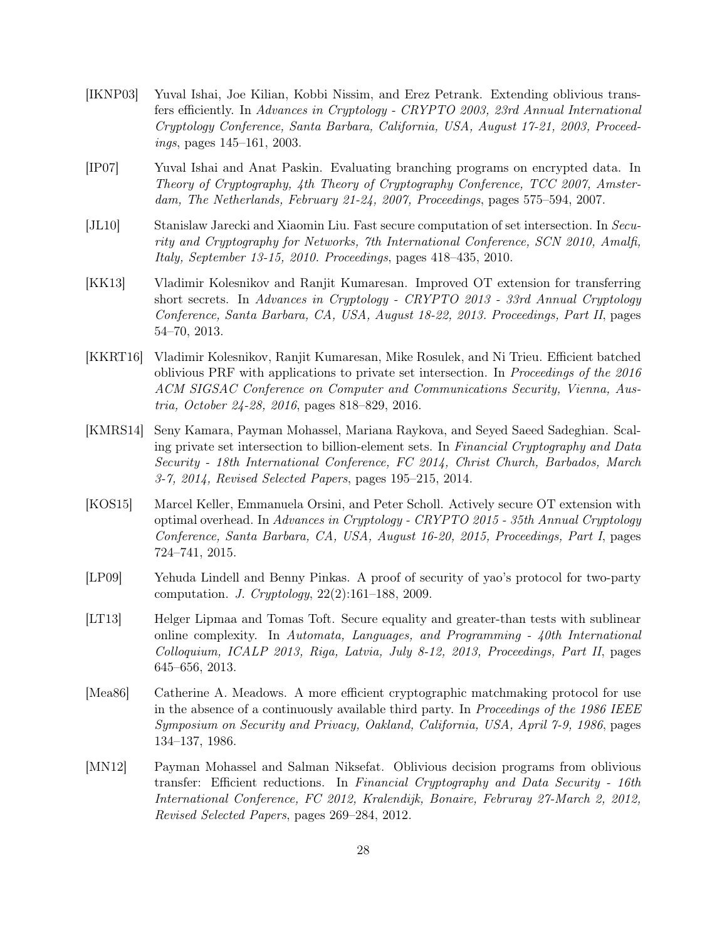- [IKNP03] Yuval Ishai, Joe Kilian, Kobbi Nissim, and Erez Petrank. Extending oblivious transfers efficiently. In Advances in Cryptology - CRYPTO 2003, 23rd Annual International Cryptology Conference, Santa Barbara, California, USA, August 17-21, 2003, Proceedings, pages 145–161, 2003.
- [IP07] Yuval Ishai and Anat Paskin. Evaluating branching programs on encrypted data. In Theory of Cryptography, 4th Theory of Cryptography Conference, TCC 2007, Amsterdam, The Netherlands, February 21-24, 2007, Proceedings, pages 575–594, 2007.
- [JL10] Stanislaw Jarecki and Xiaomin Liu. Fast secure computation of set intersection. In Security and Cryptography for Networks, 7th International Conference, SCN 2010, Amalfi, Italy, September 13-15, 2010. Proceedings, pages 418–435, 2010.
- [KK13] Vladimir Kolesnikov and Ranjit Kumaresan. Improved OT extension for transferring short secrets. In Advances in Cryptology - CRYPTO 2013 - 33rd Annual Cryptology Conference, Santa Barbara, CA, USA, August 18-22, 2013. Proceedings, Part II, pages 54–70, 2013.
- [KKRT16] Vladimir Kolesnikov, Ranjit Kumaresan, Mike Rosulek, and Ni Trieu. Efficient batched oblivious PRF with applications to private set intersection. In Proceedings of the 2016 ACM SIGSAC Conference on Computer and Communications Security, Vienna, Austria, October 24-28, 2016, pages 818–829, 2016.
- [KMRS14] Seny Kamara, Payman Mohassel, Mariana Raykova, and Seyed Saeed Sadeghian. Scaling private set intersection to billion-element sets. In Financial Cryptography and Data Security - 18th International Conference, FC 2014, Christ Church, Barbados, March 3-7, 2014, Revised Selected Papers, pages 195–215, 2014.
- [KOS15] Marcel Keller, Emmanuela Orsini, and Peter Scholl. Actively secure OT extension with optimal overhead. In Advances in Cryptology - CRYPTO 2015 - 35th Annual Cryptology Conference, Santa Barbara, CA, USA, August 16-20, 2015, Proceedings, Part I, pages 724–741, 2015.
- <span id="page-27-0"></span>[LP09] Yehuda Lindell and Benny Pinkas. A proof of security of yao's protocol for two-party computation. J. Cryptology, 22(2):161–188, 2009.
- [LT13] Helger Lipmaa and Tomas Toft. Secure equality and greater-than tests with sublinear online complexity. In Automata, Languages, and Programming - 40th International Colloquium, ICALP 2013, Riga, Latvia, July 8-12, 2013, Proceedings, Part II, pages 645–656, 2013.
- [Mea86] Catherine A. Meadows. A more efficient cryptographic matchmaking protocol for use in the absence of a continuously available third party. In Proceedings of the 1986 IEEE Symposium on Security and Privacy, Oakland, California, USA, April 7-9, 1986, pages 134–137, 1986.
- [MN12] Payman Mohassel and Salman Niksefat. Oblivious decision programs from oblivious transfer: Efficient reductions. In Financial Cryptography and Data Security - 16th International Conference, FC 2012, Kralendijk, Bonaire, Februray 27-March 2, 2012, Revised Selected Papers, pages 269–284, 2012.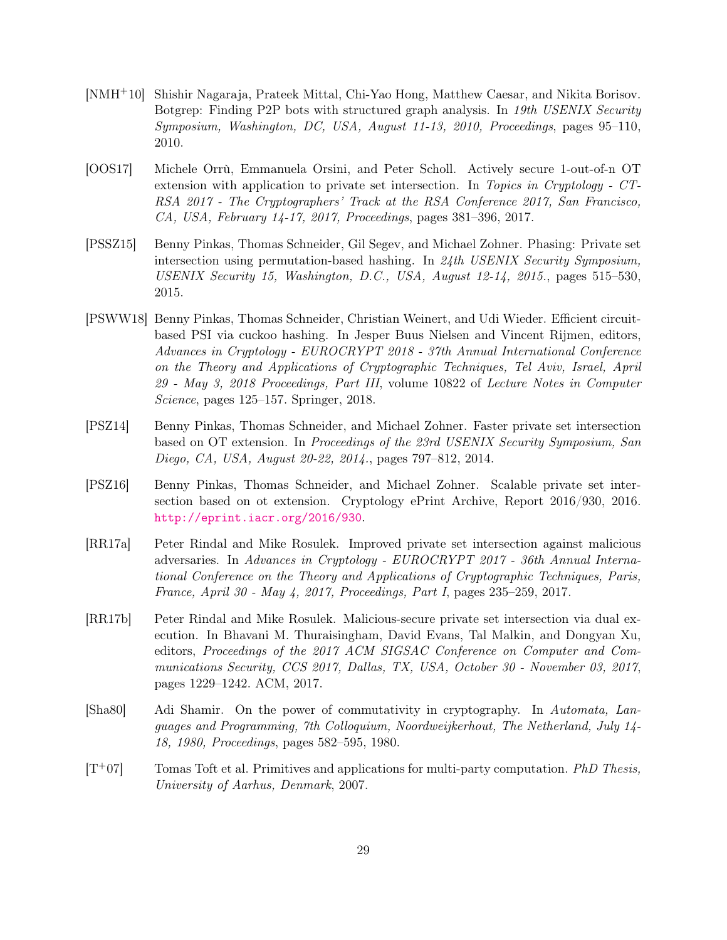- [NMH+10] Shishir Nagaraja, Prateek Mittal, Chi-Yao Hong, Matthew Caesar, and Nikita Borisov. Botgrep: Finding P2P bots with structured graph analysis. In 19th USENIX Security Symposium, Washington, DC, USA, August 11-13, 2010, Proceedings, pages 95–110, 2010.
- [OOS17] Michele Orrù, Emmanuela Orsini, and Peter Scholl. Actively secure 1-out-of-n OT extension with application to private set intersection. In Topics in Cryptology - CT-RSA 2017 - The Cryptographers' Track at the RSA Conference 2017, San Francisco, CA, USA, February 14-17, 2017, Proceedings, pages 381–396, 2017.
- [PSSZ15] Benny Pinkas, Thomas Schneider, Gil Segev, and Michael Zohner. Phasing: Private set intersection using permutation-based hashing. In 24th USENIX Security Symposium, USENIX Security 15, Washington, D.C., USA, August 12-14, 2015., pages 515–530, 2015.
- <span id="page-28-0"></span>[PSWW18] Benny Pinkas, Thomas Schneider, Christian Weinert, and Udi Wieder. Efficient circuitbased PSI via cuckoo hashing. In Jesper Buus Nielsen and Vincent Rijmen, editors, Advances in Cryptology - EUROCRYPT 2018 - 37th Annual International Conference on the Theory and Applications of Cryptographic Techniques, Tel Aviv, Israel, April 29 - May 3, 2018 Proceedings, Part III, volume 10822 of Lecture Notes in Computer Science, pages 125–157. Springer, 2018.
- [PSZ14] Benny Pinkas, Thomas Schneider, and Michael Zohner. Faster private set intersection based on OT extension. In Proceedings of the 23rd USENIX Security Symposium, San Diego, CA, USA, August 20-22, 2014., pages 797–812, 2014.
- <span id="page-28-2"></span>[PSZ16] Benny Pinkas, Thomas Schneider, and Michael Zohner. Scalable private set intersection based on ot extension. Cryptology ePrint Archive, Report 2016/930, 2016. <http://eprint.iacr.org/2016/930>.
- [RR17a] Peter Rindal and Mike Rosulek. Improved private set intersection against malicious adversaries. In Advances in Cryptology - EUROCRYPT 2017 - 36th Annual International Conference on the Theory and Applications of Cryptographic Techniques, Paris, France, April 30 - May 4, 2017, Proceedings, Part I, pages 235–259, 2017.
- <span id="page-28-1"></span>[RR17b] Peter Rindal and Mike Rosulek. Malicious-secure private set intersection via dual execution. In Bhavani M. Thuraisingham, David Evans, Tal Malkin, and Dongyan Xu, editors, Proceedings of the 2017 ACM SIGSAC Conference on Computer and Communications Security, CCS 2017, Dallas, TX, USA, October 30 - November 03, 2017, pages 1229–1242. ACM, 2017.
- [Sha80] Adi Shamir. On the power of commutativity in cryptography. In Automata, Languages and Programming, 7th Colloquium, Noordweijkerhout, The Netherland, July 14- 18, 1980, Proceedings, pages 582–595, 1980.
- <span id="page-28-3"></span> $[T+07]$  Tomas Toft et al. Primitives and applications for multi-party computation. PhD Thesis, University of Aarhus, Denmark, 2007.